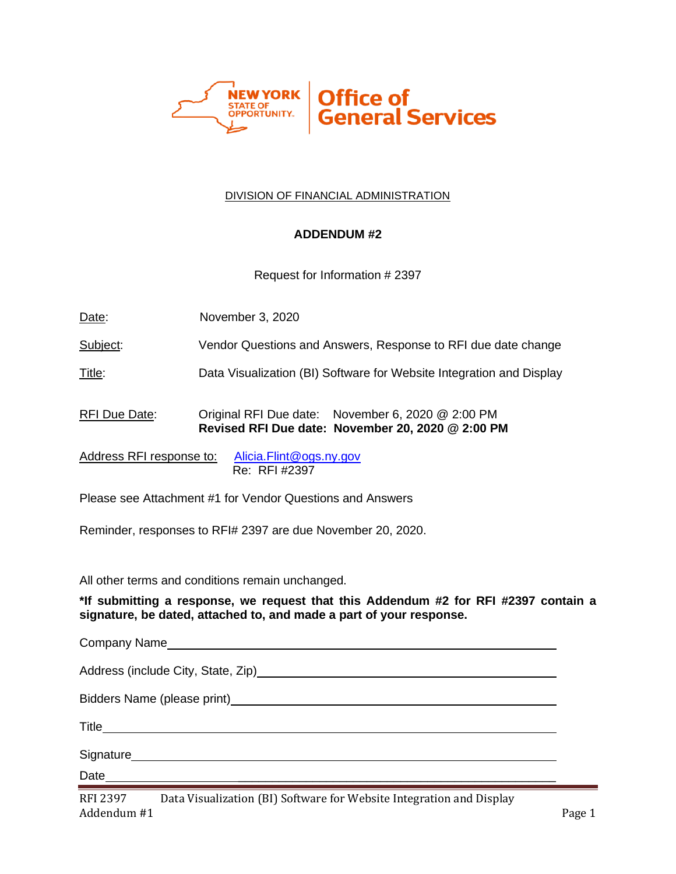

#### DIVISION OF FINANCIAL ADMINISTRATION

### **ADDENDUM #2**

Request for Information # 2397

| Date: | November 3, 2020 |
|-------|------------------|
|-------|------------------|

Subject: Vendor Questions and Answers, Response to RFI due date change

Title: Data Visualization (BI) Software for Website Integration and Display

RFI Due Date: Original RFI Due date: November 6, 2020 @ 2:00 PM **Revised RFI Due date: November 20, 2020 @ 2:00 PM**

Address RFI response to: [Alicia.Flint@ogs.ny.gov](mailto:Alicia.Flint@ogs.ny.gov) Re: RFI #2397

Please see Attachment #1 for Vendor Questions and Answers

Reminder, responses to RFI# 2397 are due November 20, 2020.

All other terms and conditions remain unchanged.

**\*If submitting a response, we request that this Addendum #2 for RFI #2397 contain a signature, be dated, attached to, and made a part of your response.**

Company Name Address (include City, State, Zip) Bidders Name (please print) Title Signature **Signature** and the state of the state of the state of the state of the state of the state of the state of the state of the state of the state of the state of the state of the state of the state of the state of t Date \_\_\_\_\_\_\_\_\_\_\_\_\_\_\_\_\_\_\_\_\_\_\_\_\_\_\_\_\_\_\_\_\_\_\_\_\_\_\_\_\_\_\_\_\_\_\_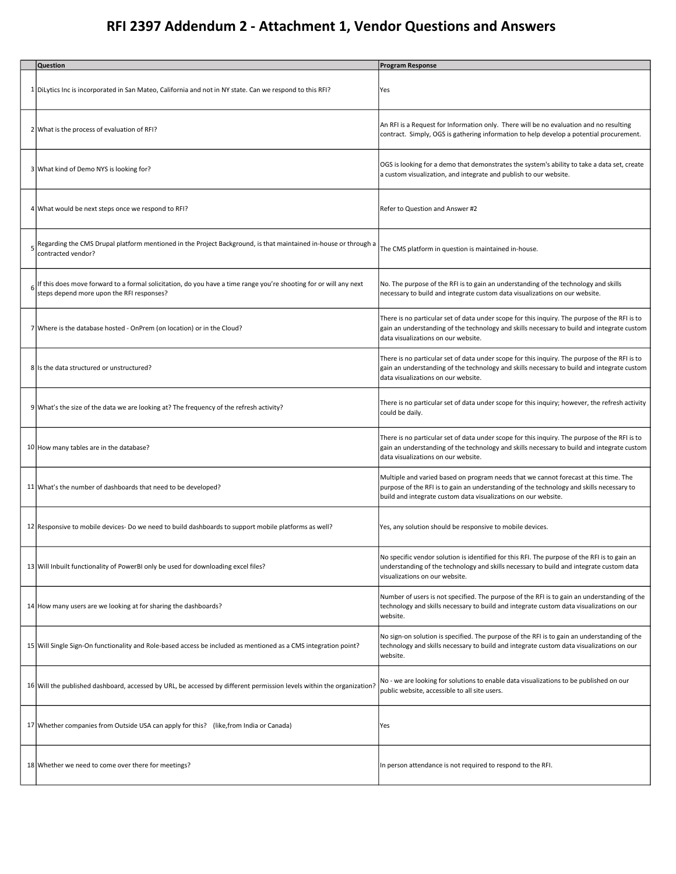# **RFI 2397 Addendum 2 - Attachment 1, Vendor Questions and Answers**

|   | Question                                                                                                                                                       | <b>Program Response</b>                                                                                                                                                                                                                            |
|---|----------------------------------------------------------------------------------------------------------------------------------------------------------------|----------------------------------------------------------------------------------------------------------------------------------------------------------------------------------------------------------------------------------------------------|
|   | 1 DiLytics Inc is incorporated in San Mateo, California and not in NY state. Can we respond to this RFI?                                                       | Yes                                                                                                                                                                                                                                                |
|   | 2 What is the process of evaluation of RFI?                                                                                                                    | An RFI is a Request for Information only. There will be no evaluation and no resulting<br>contract. Simply, OGS is gathering information to help develop a potential procurement.                                                                  |
|   | 3 What kind of Demo NYS is looking for?                                                                                                                        | OGS is looking for a demo that demonstrates the system's ability to take a data set, create<br>a custom visualization, and integrate and publish to our website.                                                                                   |
|   | 4 What would be next steps once we respond to RFI?                                                                                                             | Refer to Question and Answer #2                                                                                                                                                                                                                    |
| 5 | Regarding the CMS Drupal platform mentioned in the Project Background, is that maintained in-house or through a<br>contracted vendor?                          | The CMS platform in question is maintained in-house.                                                                                                                                                                                               |
|   | If this does move forward to a formal solicitation, do you have a time range you're shooting for or will any next<br>steps depend more upon the RFI responses? | No. The purpose of the RFI is to gain an understanding of the technology and skills<br>necessary to build and integrate custom data visualizations on our website.                                                                                 |
|   | 7 Where is the database hosted - OnPrem (on location) or in the Cloud?                                                                                         | There is no particular set of data under scope for this inquiry. The purpose of the RFI is to<br>gain an understanding of the technology and skills necessary to build and integrate custom<br>data visualizations on our website.                 |
|   | 8 Is the data structured or unstructured?                                                                                                                      | There is no particular set of data under scope for this inquiry. The purpose of the RFI is to<br>gain an understanding of the technology and skills necessary to build and integrate custom<br>data visualizations on our website.                 |
|   | 9 What's the size of the data we are looking at? The frequency of the refresh activity?                                                                        | There is no particular set of data under scope for this inquiry; however, the refresh activity<br>could be daily.                                                                                                                                  |
|   | 10 How many tables are in the database?                                                                                                                        | There is no particular set of data under scope for this inquiry. The purpose of the RFI is to<br>gain an understanding of the technology and skills necessary to build and integrate custom<br>data visualizations on our website.                 |
|   | 11 What's the number of dashboards that need to be developed?                                                                                                  | Multiple and varied based on program needs that we cannot forecast at this time. The<br>purpose of the RFI is to gain an understanding of the technology and skills necessary to<br>build and integrate custom data visualizations on our website. |
|   | 12 Responsive to mobile devices- Do we need to build dashboards to support mobile platforms as well?                                                           | Yes, any solution should be responsive to mobile devices.                                                                                                                                                                                          |
|   | 13 Will Inbuilt functionality of PowerBI only be used for downloading excel files?                                                                             | No specific vendor solution is identified for this RFI. The purpose of the RFI is to gain an<br>understanding of the technology and skills necessary to build and integrate custom data<br>visualizations on our website.                          |
|   | 14 How many users are we looking at for sharing the dashboards?                                                                                                | Number of users is not specified. The purpose of the RFI is to gain an understanding of the<br>technology and skills necessary to build and integrate custom data visualizations on our<br>website.                                                |
|   | 15 Will Single Sign-On functionality and Role-based access be included as mentioned as a CMS integration point?                                                | No sign-on solution is specified. The purpose of the RFI is to gain an understanding of the<br>technology and skills necessary to build and integrate custom data visualizations on our<br>website.                                                |
|   | 16 Will the published dashboard, accessed by URL, be accessed by different permission levels within the organization?                                          | No - we are looking for solutions to enable data visualizations to be published on our<br>public website, accessible to all site users.                                                                                                            |
|   | 17 Whether companies from Outside USA can apply for this? (like, from India or Canada)                                                                         | Yes                                                                                                                                                                                                                                                |
|   | 18 Whether we need to come over there for meetings?                                                                                                            | In person attendance is not required to respond to the RFI.                                                                                                                                                                                        |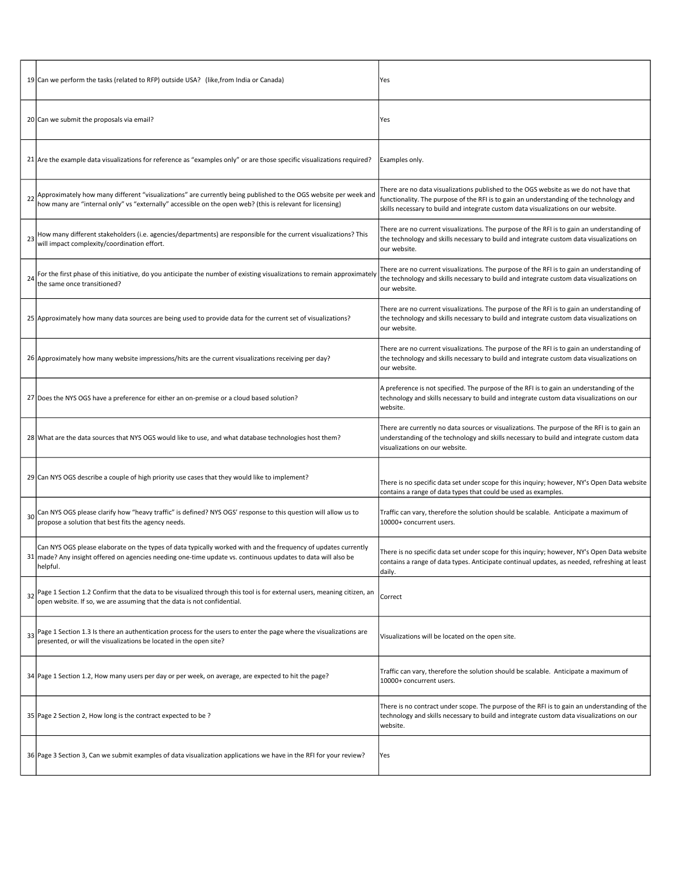|    | 19 Can we perform the tasks (related to RFP) outside USA? (like, from India or Canada)                                                                                                                                                  | Yes                                                                                                                                                                                                                                                                   |
|----|-----------------------------------------------------------------------------------------------------------------------------------------------------------------------------------------------------------------------------------------|-----------------------------------------------------------------------------------------------------------------------------------------------------------------------------------------------------------------------------------------------------------------------|
|    | 20 Can we submit the proposals via email?                                                                                                                                                                                               | Yes                                                                                                                                                                                                                                                                   |
|    | 21 Are the example data visualizations for reference as "examples only" or are those specific visualizations required?                                                                                                                  | Examples only.                                                                                                                                                                                                                                                        |
|    | 22 Approximately how many different "visualizations" are currently being published to the OGS website per week and<br>how many are "internal only" vs "externally" accessible on the open web? (this is relevant for licensing)         | There are no data visualizations published to the OGS website as we do not have that<br>functionality. The purpose of the RFI is to gain an understanding of the technology and<br>skills necessary to build and integrate custom data visualizations on our website. |
| 23 | How many different stakeholders (i.e. agencies/departments) are responsible for the current visualizations? This<br>will impact complexity/coordination effort.                                                                         | There are no current visualizations. The purpose of the RFI is to gain an understanding of<br>the technology and skills necessary to build and integrate custom data visualizations on<br>our website.                                                                |
|    | For the first phase of this initiative, do you anticipate the number of existing visualizations to remain approximately<br>the same once transitioned?                                                                                  | There are no current visualizations. The purpose of the RFI is to gain an understanding of<br>the technology and skills necessary to build and integrate custom data visualizations on<br>our website.                                                                |
|    | 25 Approximately how many data sources are being used to provide data for the current set of visualizations?                                                                                                                            | There are no current visualizations. The purpose of the RFI is to gain an understanding of<br>the technology and skills necessary to build and integrate custom data visualizations on<br>our website.                                                                |
|    | 26 Approximately how many website impressions/hits are the current visualizations receiving per day?                                                                                                                                    | There are no current visualizations. The purpose of the RFI is to gain an understanding of<br>the technology and skills necessary to build and integrate custom data visualizations on<br>our website.                                                                |
|    | 27 Does the NYS OGS have a preference for either an on-premise or a cloud based solution?                                                                                                                                               | A preference is not specified. The purpose of the RFI is to gain an understanding of the<br>technology and skills necessary to build and integrate custom data visualizations on our<br>website.                                                                      |
|    | 28 What are the data sources that NYS OGS would like to use, and what database technologies host them?                                                                                                                                  | There are currently no data sources or visualizations. The purpose of the RFI is to gain an<br>understanding of the technology and skills necessary to build and integrate custom data<br>visualizations on our website.                                              |
|    | 29 Can NYS OGS describe a couple of high priority use cases that they would like to implement?                                                                                                                                          | There is no specific data set under scope for this inquiry; however, NY's Open Data website<br>contains a range of data types that could be used as examples.                                                                                                         |
| 30 | Can NYS OGS please clarify how "heavy traffic" is defined? NYS OGS' response to this question will allow us to<br>propose a solution that best fits the agency needs.                                                                   | Traffic can vary, therefore the solution should be scalable. Anticipate a maximum of<br>10000+ concurrent users.                                                                                                                                                      |
| 31 | Can NYS OGS please elaborate on the types of data typically worked with and the frequency of updates currently<br>made? Any insight offered on agencies needing one-time update vs. continuous updates to data will also be<br>helpful. | There is no specific data set under scope for this inquiry; however, NY's Open Data website<br>contains a range of data types. Anticipate continual updates, as needed, refreshing at least<br>daily.                                                                 |
| 32 | Page 1 Section 1.2 Confirm that the data to be visualized through this tool is for external users, meaning citizen, an<br>open website. If so, we are assuming that the data is not confidential.                                       | Correct                                                                                                                                                                                                                                                               |
| 33 | Page 1 Section 1.3 Is there an authentication process for the users to enter the page where the visualizations are<br>presented, or will the visualizations be located in the open site?                                                | Visualizations will be located on the open site.                                                                                                                                                                                                                      |
|    | 34 Page 1 Section 1.2, How many users per day or per week, on average, are expected to hit the page?                                                                                                                                    | Traffic can vary, therefore the solution should be scalable. Anticipate a maximum of<br>10000+ concurrent users.                                                                                                                                                      |
|    | 35 Page 2 Section 2, How long is the contract expected to be ?                                                                                                                                                                          | There is no contract under scope. The purpose of the RFI is to gain an understanding of the<br>technology and skills necessary to build and integrate custom data visualizations on our<br>website.                                                                   |
|    | 36 Page 3 Section 3, Can we submit examples of data visualization applications we have in the RFI for your review?                                                                                                                      | Yes                                                                                                                                                                                                                                                                   |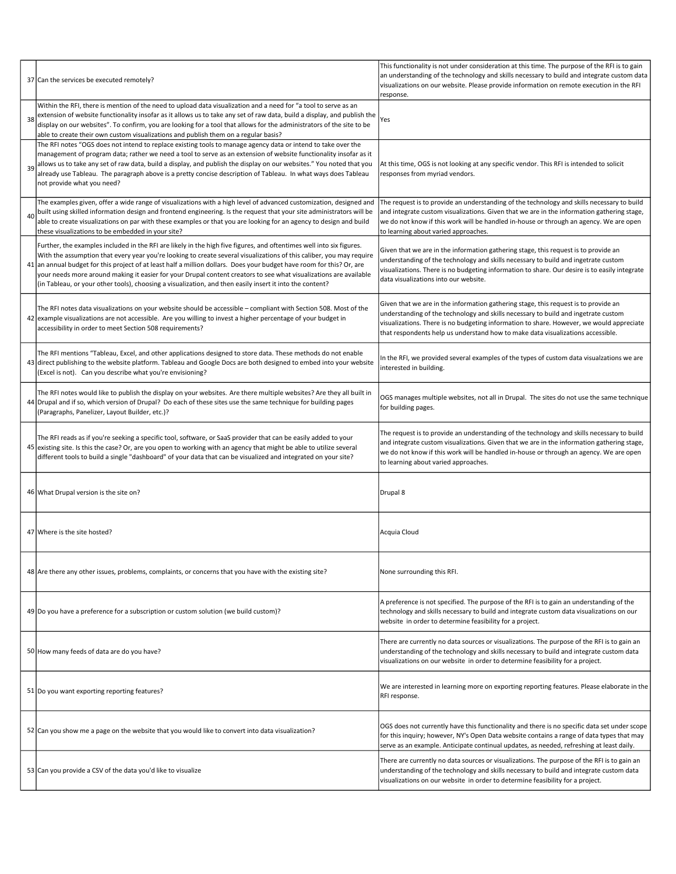|    | 37 Can the services be executed remotely?                                                                                                                                                                                                                                                                                                                                                                                                                                                                                                                                                              | This functionality is not under consideration at this time. The purpose of the RFI is to gain<br>an understanding of the technology and skills necessary to build and integrate custom data<br>visualizations on our website. Please provide information on remote execution in the RFI<br>response.                                                     |
|----|--------------------------------------------------------------------------------------------------------------------------------------------------------------------------------------------------------------------------------------------------------------------------------------------------------------------------------------------------------------------------------------------------------------------------------------------------------------------------------------------------------------------------------------------------------------------------------------------------------|----------------------------------------------------------------------------------------------------------------------------------------------------------------------------------------------------------------------------------------------------------------------------------------------------------------------------------------------------------|
| 38 | Within the RFI, there is mention of the need to upload data visualization and a need for "a tool to serve as an<br>extension of website functionality insofar as it allows us to take any set of raw data, build a display, and publish the<br>display on our websites". To confirm, you are looking for a tool that allows for the administrators of the site to be<br>able to create their own custom visualizations and publish them on a regular basis?                                                                                                                                            | Yes                                                                                                                                                                                                                                                                                                                                                      |
| 39 | The RFI notes "OGS does not intend to replace existing tools to manage agency data or intend to take over the<br>management of program data; rather we need a tool to serve as an extension of website functionality insofar as it<br>allows us to take any set of raw data, build a display, and publish the display on our websites." You noted that you<br>already use Tableau. The paragraph above is a pretty concise description of Tableau. In what ways does Tableau<br>not provide what you need?                                                                                             | At this time, OGS is not looking at any specific vendor. This RFI is intended to solicit<br>responses from myriad vendors.                                                                                                                                                                                                                               |
| 40 | The examples given, offer a wide range of visualizations with a high level of advanced customization, designed and<br>built using skilled information design and frontend engineering. Is the request that your site administrators will be<br>able to create visualizations on par with these examples or that you are looking for an agency to design and build<br>these visualizations to be embedded in your site?                                                                                                                                                                                 | The request is to provide an understanding of the technology and skills necessary to build<br>and integrate custom visualizations. Given that we are in the information gathering stage,<br>we do not know if this work will be handled in-house or through an agency. We are open<br>to learning about varied approaches.                               |
|    | Further, the examples included in the RFI are likely in the high five figures, and oftentimes well into six figures.<br>With the assumption that every year you're looking to create several visualizations of this caliber, you may require<br>41 an annual budget for this project of at least half a million dollars. Does your budget have room for this? Or, are<br>your needs more around making it easier for your Drupal content creators to see what visualizations are available<br>(in Tableau, or your other tools), choosing a visualization, and then easily insert it into the content? | Given that we are in the information gathering stage, this request is to provide an<br>understanding of the technology and skills necessary to build and ingetrate custom<br>visualizations. There is no budgeting information to share. Our desire is to easily integrate<br>data visualizations into our website.                                      |
|    | The RFI notes data visualizations on your website should be accessible - compliant with Section 508. Most of the<br>42 example visualizations are not accessible. Are you willing to invest a higher percentage of your budget in<br>accessibility in order to meet Section 508 requirements?                                                                                                                                                                                                                                                                                                          | Given that we are in the information gathering stage, this request is to provide an<br>understanding of the technology and skills necessary to build and ingetrate custom<br>visualizations. There is no budgeting information to share. However, we would appreciate<br>that respondents help us understand how to make data visualizations accessible. |
|    | The RFI mentions "Tableau, Excel, and other applications designed to store data. These methods do not enable<br>43 direct publishing to the website platform. Tableau and Google Docs are both designed to embed into your website<br>(Excel is not). Can you describe what you're envisioning?                                                                                                                                                                                                                                                                                                        | In the RFI, we provided several examples of the types of custom data visualzations we are<br>interested in building.                                                                                                                                                                                                                                     |
|    | The RFI notes would like to publish the display on your websites. Are there multiple websites? Are they all built in<br>44 Drupal and if so, which version of Drupal? Do each of these sites use the same technique for building pages<br>(Paragraphs, Panelizer, Layout Builder, etc.)?                                                                                                                                                                                                                                                                                                               | OGS manages multiple websites, not all in Drupal. The sites do not use the same technique<br>for building pages.                                                                                                                                                                                                                                         |
|    | The RFI reads as if you're seeking a specific tool, software, or SaaS provider that can be easily added to your<br>45 existing site. Is this the case? Or, are you open to working with an agency that might be able to utilize several<br>different tools to build a single "dashboard" of your data that can be visualized and integrated on your site?                                                                                                                                                                                                                                              | The request is to provide an understanding of the technology and skills necessary to build<br>and integrate custom visualizations. Given that we are in the information gathering stage,<br>we do not know if this work will be handled in-house or through an agency. We are open<br>to learning about varied approaches.                               |
|    | 46 What Drupal version is the site on?                                                                                                                                                                                                                                                                                                                                                                                                                                                                                                                                                                 | Drupal 8                                                                                                                                                                                                                                                                                                                                                 |
|    | 47 Where is the site hosted?                                                                                                                                                                                                                                                                                                                                                                                                                                                                                                                                                                           | Acquia Cloud                                                                                                                                                                                                                                                                                                                                             |
|    | 48 Are there any other issues, problems, complaints, or concerns that you have with the existing site?                                                                                                                                                                                                                                                                                                                                                                                                                                                                                                 | None surrounding this RFI.                                                                                                                                                                                                                                                                                                                               |
|    | 49 Do you have a preference for a subscription or custom solution (we build custom)?                                                                                                                                                                                                                                                                                                                                                                                                                                                                                                                   | A preference is not specified. The purpose of the RFI is to gain an understanding of the<br>technology and skills necessary to build and integrate custom data visualizations on our<br>website in order to determine feasibility for a project.                                                                                                         |
|    | 50 How many feeds of data are do you have?                                                                                                                                                                                                                                                                                                                                                                                                                                                                                                                                                             | There are currently no data sources or visualizations. The purpose of the RFI is to gain an<br>understanding of the technology and skills necessary to build and integrate custom data<br>visualizations on our website in order to determine feasibility for a project.                                                                                 |
|    | 51 Do you want exporting reporting features?                                                                                                                                                                                                                                                                                                                                                                                                                                                                                                                                                           | We are interested in learning more on exporting reporting features. Please elaborate in the<br>RFI response.                                                                                                                                                                                                                                             |
|    | 52 Can you show me a page on the website that you would like to convert into data visualization?                                                                                                                                                                                                                                                                                                                                                                                                                                                                                                       | OGS does not currently have this functionality and there is no specific data set under scope<br>for this inquiry; however, NY's Open Data website contains a range of data types that may<br>serve as an example. Anticipate continual updates, as needed, refreshing at least daily.                                                                    |
|    | 53 Can you provide a CSV of the data you'd like to visualize                                                                                                                                                                                                                                                                                                                                                                                                                                                                                                                                           | There are currently no data sources or visualizations. The purpose of the RFI is to gain an<br>understanding of the technology and skills necessary to build and integrate custom data<br>visualizations on our website in order to determine feasibility for a project.                                                                                 |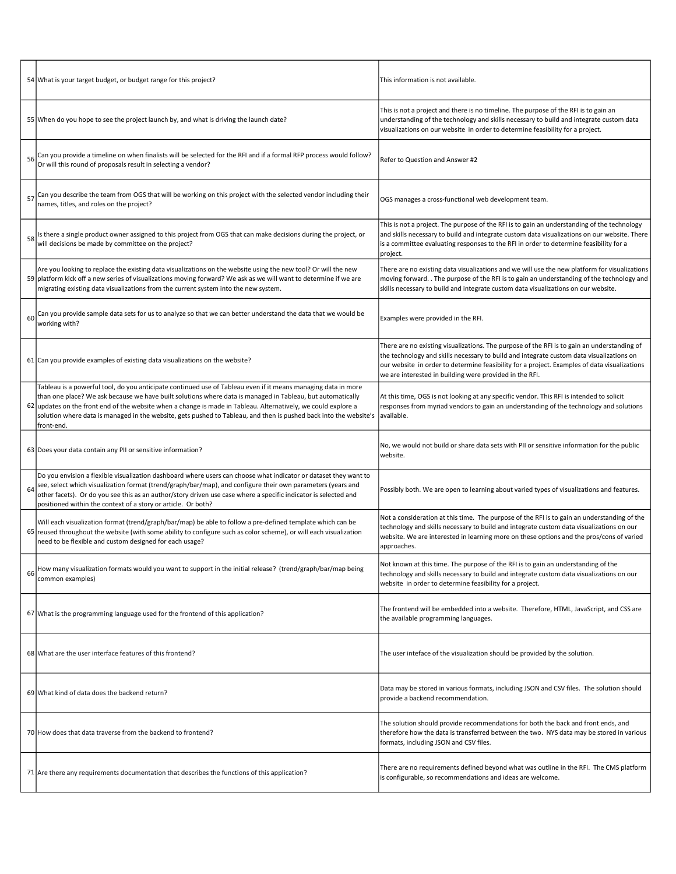|    | 54 What is your target budget, or budget range for this project?                                                                                                                                                                                                                                                                                                                                                                                                                 | This information is not available.                                                                                                                                                                                                                                                                                                                 |
|----|----------------------------------------------------------------------------------------------------------------------------------------------------------------------------------------------------------------------------------------------------------------------------------------------------------------------------------------------------------------------------------------------------------------------------------------------------------------------------------|----------------------------------------------------------------------------------------------------------------------------------------------------------------------------------------------------------------------------------------------------------------------------------------------------------------------------------------------------|
|    | 55 When do you hope to see the project launch by, and what is driving the launch date?                                                                                                                                                                                                                                                                                                                                                                                           | This is not a project and there is no timeline. The purpose of the RFI is to gain an<br>understanding of the technology and skills necessary to build and integrate custom data<br>visualizations on our website in order to determine feasibility for a project.                                                                                  |
| 56 | Can you provide a timeline on when finalists will be selected for the RFI and if a formal RFP process would follow?<br>Or will this round of proposals result in selecting a vendor?                                                                                                                                                                                                                                                                                             | Refer to Question and Answer #2                                                                                                                                                                                                                                                                                                                    |
| 57 | Can you describe the team from OGS that will be working on this project with the selected vendor including their<br>names, titles, and roles on the project?                                                                                                                                                                                                                                                                                                                     | OGS manages a cross-functional web development team.                                                                                                                                                                                                                                                                                               |
| 58 | Is there a single product owner assigned to this project from OGS that can make decisions during the project, or<br>will decisions be made by committee on the project?                                                                                                                                                                                                                                                                                                          | This is not a project. The purpose of the RFI is to gain an understanding of the technology<br>and skills necessary to build and integrate custom data visualizations on our website. There<br>is a committee evaluating responses to the RFI in order to determine feasibility for a<br>project.                                                  |
|    | Are you looking to replace the existing data visualizations on the website using the new tool? Or will the new<br>59 platform kick off a new series of visualizations moving forward? We ask as we will want to determine if we are<br>migrating existing data visualizations from the current system into the new system.                                                                                                                                                       | There are no existing data visualizations and we will use the new platform for visualizations<br>moving forward. . The purpose of the RFI is to gain an understanding of the technology and<br>skills necessary to build and integrate custom data visualizations on our website.                                                                  |
| 60 | Can you provide sample data sets for us to analyze so that we can better understand the data that we would be<br>working with?                                                                                                                                                                                                                                                                                                                                                   | Examples were provided in the RFI.                                                                                                                                                                                                                                                                                                                 |
|    | 61 Can you provide examples of existing data visualizations on the website?                                                                                                                                                                                                                                                                                                                                                                                                      | There are no existing visualizations. The purpose of the RFI is to gain an understanding of<br>the technology and skills necessary to build and integrate custom data visualizations on<br>our website in order to determine feasibility for a project. Examples of data visualizations<br>we are interested in building were provided in the RFI. |
|    | Tableau is a powerful tool, do you anticipate continued use of Tableau even if it means managing data in more<br>than one place? We ask because we have built solutions where data is managed in Tableau, but automatically<br>62 updates on the front end of the website when a change is made in Tableau. Alternatively, we could explore a<br>solution where data is managed in the website, gets pushed to Tableau, and then is pushed back into the website's<br>front-end. | At this time, OGS is not looking at any specific vendor. This RFI is intended to solicit<br>responses from myriad vendors to gain an understanding of the technology and solutions<br>available.                                                                                                                                                   |
|    | 63 Does your data contain any PII or sensitive information?                                                                                                                                                                                                                                                                                                                                                                                                                      | No, we would not build or share data sets with PII or sensitive information for the public<br>website.                                                                                                                                                                                                                                             |
| 64 | Do you envision a flexible visualization dashboard where users can choose what indicator or dataset they want to<br>see, select which visualization format (trend/graph/bar/map), and configure their own parameters (years and<br>other facets). Or do you see this as an author/story driven use case where a specific indicator is selected and<br>positioned within the context of a story or article. Or both?                                                              | Possibly both. We are open to learning about varied types of visualizations and features.                                                                                                                                                                                                                                                          |
|    | Will each visualization format (trend/graph/bar/map) be able to follow a pre-defined template which can be<br>65 reused throughout the website (with some ability to configure such as color scheme), or will each visualization<br>need to be flexible and custom designed for each usage?                                                                                                                                                                                      | Not a consideration at this time. The purpose of the RFI is to gain an understanding of the<br>technology and skills necessary to build and integrate custom data visualizations on our<br>website. We are interested in learning more on these options and the pros/cons of varied<br>approaches.                                                 |
| 66 | How many visualization formats would you want to support in the initial release? (trend/graph/bar/map being<br>common examples)                                                                                                                                                                                                                                                                                                                                                  | Not known at this time. The purpose of the RFI is to gain an understanding of the<br>technology and skills necessary to build and integrate custom data visualizations on our<br>website in order to determine feasibility for a project.                                                                                                          |
|    | 67 What is the programming language used for the frontend of this application?                                                                                                                                                                                                                                                                                                                                                                                                   | The frontend will be embedded into a website. Therefore, HTML, JavaScript, and CSS are<br>the available programming languages.                                                                                                                                                                                                                     |
|    | 68 What are the user interface features of this frontend?                                                                                                                                                                                                                                                                                                                                                                                                                        | The user inteface of the visualization should be provided by the solution.                                                                                                                                                                                                                                                                         |
|    | 69 What kind of data does the backend return?                                                                                                                                                                                                                                                                                                                                                                                                                                    | Data may be stored in various formats, including JSON and CSV files. The solution should<br>provide a backend recommendation.                                                                                                                                                                                                                      |
|    | 70 How does that data traverse from the backend to frontend?                                                                                                                                                                                                                                                                                                                                                                                                                     | The solution should provide recommendations for both the back and front ends, and<br>therefore how the data is transferred between the two. NYS data may be stored in various<br>formats, including JSON and CSV files.                                                                                                                            |
|    | 71 Are there any requirements documentation that describes the functions of this application?                                                                                                                                                                                                                                                                                                                                                                                    | There are no requirements defined beyond what was outline in the RFI. The CMS platform<br>is configurable, so recommendations and ideas are welcome.                                                                                                                                                                                               |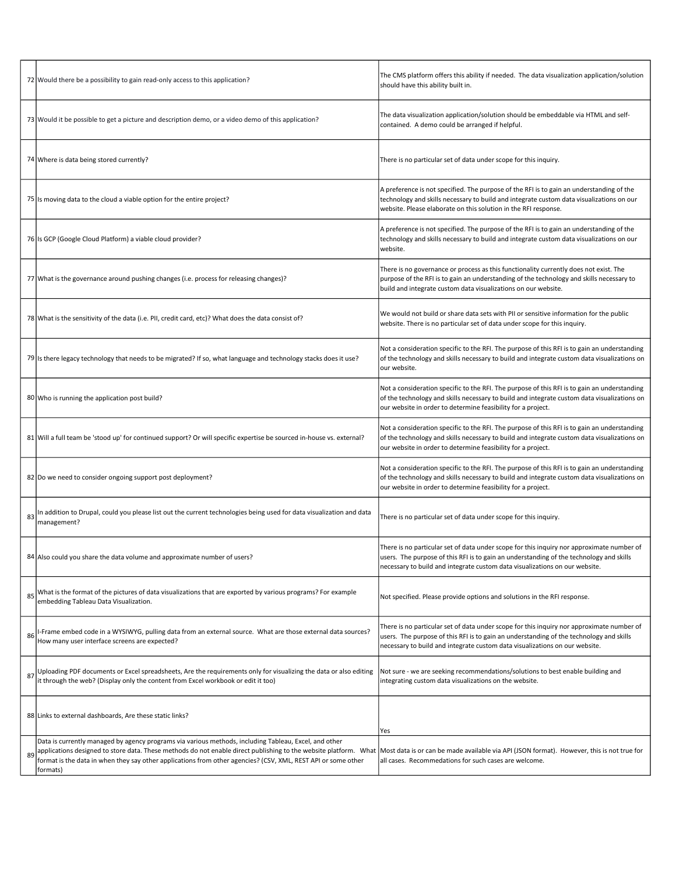|    | 72 Would there be a possibility to gain read-only access to this application?                                                                                                                                                                                                                                                                                                                                                                      | The CMS platform offers this ability if needed. The data visualization application/solution<br>should have this ability built in.                                                                                                                                   |
|----|----------------------------------------------------------------------------------------------------------------------------------------------------------------------------------------------------------------------------------------------------------------------------------------------------------------------------------------------------------------------------------------------------------------------------------------------------|---------------------------------------------------------------------------------------------------------------------------------------------------------------------------------------------------------------------------------------------------------------------|
|    | 73 Would it be possible to get a picture and description demo, or a video demo of this application?                                                                                                                                                                                                                                                                                                                                                | The data visualization application/solution should be embeddable via HTML and self-<br>contained. A demo could be arranged if helpful.                                                                                                                              |
|    | 74 Where is data being stored currently?                                                                                                                                                                                                                                                                                                                                                                                                           | There is no particular set of data under scope for this inquiry.                                                                                                                                                                                                    |
|    | 75 Is moving data to the cloud a viable option for the entire project?                                                                                                                                                                                                                                                                                                                                                                             | A preference is not specified. The purpose of the RFI is to gain an understanding of the<br>technology and skills necessary to build and integrate custom data visualizations on our<br>website. Please elaborate on this solution in the RFI response.             |
|    | 76 Is GCP (Google Cloud Platform) a viable cloud provider?                                                                                                                                                                                                                                                                                                                                                                                         | A preference is not specified. The purpose of the RFI is to gain an understanding of the<br>technology and skills necessary to build and integrate custom data visualizations on our<br>website.                                                                    |
|    | 77 What is the governance around pushing changes (i.e. process for releasing changes)?                                                                                                                                                                                                                                                                                                                                                             | There is no governance or process as this functionality currently does not exist. The<br>purpose of the RFI is to gain an understanding of the technology and skills necessary to<br>build and integrate custom data visualizations on our website.                 |
|    | 78 What is the sensitivity of the data (i.e. PII, credit card, etc)? What does the data consist of?                                                                                                                                                                                                                                                                                                                                                | We would not build or share data sets with PII or sensitive information for the public<br>website. There is no particular set of data under scope for this inquiry.                                                                                                 |
|    | 79 Is there legacy technology that needs to be migrated? If so, what language and technology stacks does it use?                                                                                                                                                                                                                                                                                                                                   | Not a consideration specific to the RFI. The purpose of this RFI is to gain an understanding<br>of the technology and skills necessary to build and integrate custom data visualizations on<br>our website.                                                         |
|    | 80 Who is running the application post build?                                                                                                                                                                                                                                                                                                                                                                                                      | Not a consideration specific to the RFI. The purpose of this RFI is to gain an understanding<br>of the technology and skills necessary to build and integrate custom data visualizations on<br>our website in order to determine feasibility for a project.         |
|    | 81 Will a full team be 'stood up' for continued support? Or will specific expertise be sourced in-house vs. external?                                                                                                                                                                                                                                                                                                                              | Not a consideration specific to the RFI. The purpose of this RFI is to gain an understanding<br>of the technology and skills necessary to build and integrate custom data visualizations on<br>our website in order to determine feasibility for a project.         |
|    | 82 Do we need to consider ongoing support post deployment?                                                                                                                                                                                                                                                                                                                                                                                         | Not a consideration specific to the RFI. The purpose of this RFI is to gain an understanding<br>of the technology and skills necessary to build and integrate custom data visualizations on<br>our website in order to determine feasibility for a project.         |
| 83 | In addition to Drupal, could you please list out the current technologies being used for data visualization and data<br>management?                                                                                                                                                                                                                                                                                                                | There is no particular set of data under scope for this inquiry.                                                                                                                                                                                                    |
|    | 84 Also could you share the data volume and approximate number of users?                                                                                                                                                                                                                                                                                                                                                                           | There is no particular set of data under scope for this inquiry nor approximate number of<br>users. The purpose of this RFI is to gain an understanding of the technology and skills<br>necessary to build and integrate custom data visualizations on our website. |
| 85 | What is the format of the pictures of data visualizations that are exported by various programs? For example<br>embedding Tableau Data Visualization.                                                                                                                                                                                                                                                                                              | Not specified. Please provide options and solutions in the RFI response.                                                                                                                                                                                            |
| 86 | I-Frame embed code in a WYSIWYG, pulling data from an external source. What are those external data sources?<br>How many user interface screens are expected?                                                                                                                                                                                                                                                                                      | There is no particular set of data under scope for this inquiry nor approximate number of<br>users. The purpose of this RFI is to gain an understanding of the technology and skills<br>necessary to build and integrate custom data visualizations on our website. |
| 87 | Uploading PDF documents or Excel spreadsheets, Are the requirements only for visualizing the data or also editing<br>it through the web? (Display only the content from Excel workbook or edit it too)                                                                                                                                                                                                                                             | Not sure - we are seeking recommendations/solutions to best enable building and<br>integrating custom data visualizations on the website.                                                                                                                           |
|    | 88 Links to external dashboards, Are these static links?                                                                                                                                                                                                                                                                                                                                                                                           | Yes                                                                                                                                                                                                                                                                 |
| 89 | Data is currently managed by agency programs via various methods, including Tableau, Excel, and other<br>applications designed to store data. These methods do not enable direct publishing to the website platform. What  Most data is or can be made available via API (JSON format). However, this is not true for<br>format is the data in when they say other applications from other agencies? (CSV, XML, REST API or some other<br>formats) | all cases. Recommedations for such cases are welcome.                                                                                                                                                                                                               |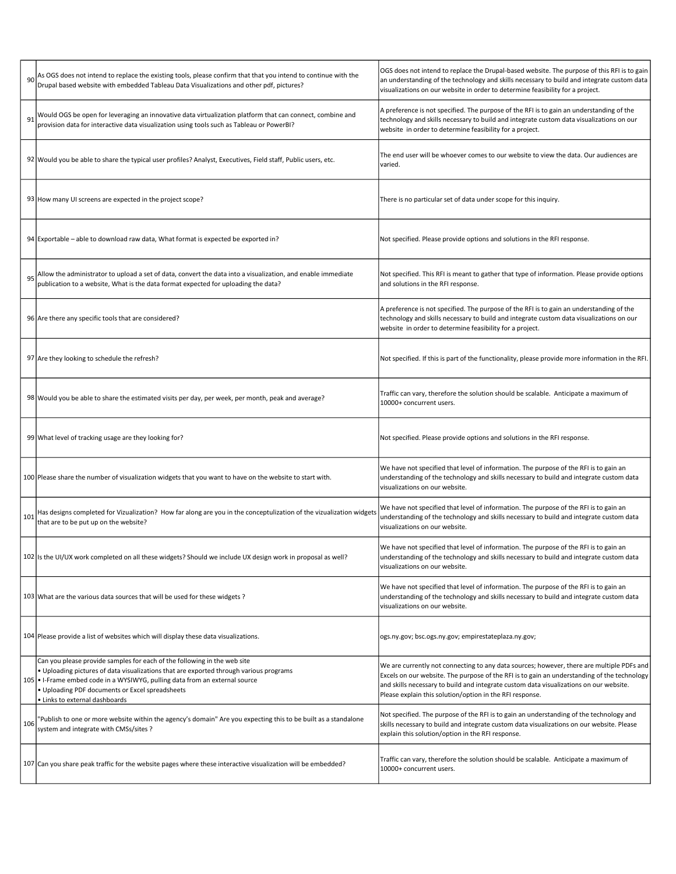|     | As OGS does not intend to replace the existing tools, please confirm that that you intend to continue with the<br>Drupal based website with embedded Tableau Data Visualizations and other pdf, pictures?                                                                                                                              | OGS does not intend to replace the Drupal-based website. The purpose of this RFI is to gain<br>an understanding of the technology and skills necessary to build and integrate custom data<br>visualizations on our website in order to determine feasibility for a project.                                                                    |
|-----|----------------------------------------------------------------------------------------------------------------------------------------------------------------------------------------------------------------------------------------------------------------------------------------------------------------------------------------|------------------------------------------------------------------------------------------------------------------------------------------------------------------------------------------------------------------------------------------------------------------------------------------------------------------------------------------------|
|     | Would OGS be open for leveraging an innovative data virtualization platform that can connect, combine and<br>provision data for interactive data visualization using tools such as Tableau or PowerBI?                                                                                                                                 | A preference is not specified. The purpose of the RFI is to gain an understanding of the<br>technology and skills necessary to build and integrate custom data visualizations on our<br>website in order to determine feasibility for a project.                                                                                               |
|     | 92 Would you be able to share the typical user profiles? Analyst, Executives, Field staff, Public users, etc.                                                                                                                                                                                                                          | The end user will be whoever comes to our website to view the data. Our audiences are<br>varied.                                                                                                                                                                                                                                               |
|     | 93 How many UI screens are expected in the project scope?                                                                                                                                                                                                                                                                              | There is no particular set of data under scope for this inquiry.                                                                                                                                                                                                                                                                               |
|     | 94 Exportable – able to download raw data, What format is expected be exported in?                                                                                                                                                                                                                                                     | Not specified. Please provide options and solutions in the RFI response.                                                                                                                                                                                                                                                                       |
|     | Allow the administrator to upload a set of data, convert the data into a visualization, and enable immediate<br>publication to a website, What is the data format expected for uploading the data?                                                                                                                                     | Not specified. This RFI is meant to gather that type of information. Please provide options<br>and solutions in the RFI response.                                                                                                                                                                                                              |
|     | 96 Are there any specific tools that are considered?                                                                                                                                                                                                                                                                                   | A preference is not specified. The purpose of the RFI is to gain an understanding of the<br>technology and skills necessary to build and integrate custom data visualizations on our<br>website in order to determine feasibility for a project.                                                                                               |
|     | 97 Are they looking to schedule the refresh?                                                                                                                                                                                                                                                                                           | Not specified. If this is part of the functionality, please provide more information in the RFI.                                                                                                                                                                                                                                               |
|     | 98 Would you be able to share the estimated visits per day, per week, per month, peak and average?                                                                                                                                                                                                                                     | Traffic can vary, therefore the solution should be scalable. Anticipate a maximum of<br>10000+ concurrent users.                                                                                                                                                                                                                               |
|     | 99 What level of tracking usage are they looking for?                                                                                                                                                                                                                                                                                  | Not specified. Please provide options and solutions in the RFI response.                                                                                                                                                                                                                                                                       |
|     | 100 Please share the number of visualization widgets that you want to have on the website to start with.                                                                                                                                                                                                                               | We have not specified that level of information. The purpose of the RFI is to gain an<br>understanding of the technology and skills necessary to build and integrate custom data<br>visualizations on our website.                                                                                                                             |
| 101 | Has designs completed for Vizualization? How far along are you in the conceptulization of the vizualization widgets<br>that are to be put up on the website?                                                                                                                                                                           | We have not specified that level of information. The purpose of the RFI is to gain an<br>understanding of the technology and skills necessary to build and integrate custom data<br>visualizations on our website.                                                                                                                             |
|     | 102 ls the UI/UX work completed on all these widgets? Should we include UX design work in proposal as well?                                                                                                                                                                                                                            | We have not specified that level of information. The purpose of the RFI is to gain an<br>understanding of the technology and skills necessary to build and integrate custom data<br>visualizations on our website.                                                                                                                             |
|     | 103 What are the various data sources that will be used for these widgets?                                                                                                                                                                                                                                                             | We have not specified that level of information. The purpose of the RFI is to gain an<br>understanding of the technology and skills necessary to build and integrate custom data<br>visualizations on our website.                                                                                                                             |
|     | 104 Please provide a list of websites which will display these data visualizations.                                                                                                                                                                                                                                                    | ogs.ny.gov; bsc.ogs.ny.gov; empirestateplaza.ny.gov;                                                                                                                                                                                                                                                                                           |
|     | Can you please provide samples for each of the following in the web site<br>. Uploading pictures of data visualizations that are exported through various programs<br>105 . I-Frame embed code in a WYSIWYG, pulling data from an external source<br>. Uploading PDF documents or Excel spreadsheets<br>· Links to external dashboards | We are currently not connecting to any data sources; however, there are multiple PDFs and<br>Excels on our website. The purpose of the RFI is to gain an understanding of the technology<br>and skills necessary to build and integrate custom data visualizations on our website.<br>Please explain this solution/option in the RFI response. |
| 106 | "Publish to one or more website within the agency's domain" Are you expecting this to be built as a standalone<br>system and integrate with CMSs/sites ?                                                                                                                                                                               | Not specified. The purpose of the RFI is to gain an understanding of the technology and<br>skills necessary to build and integrate custom data visualizations on our website. Please<br>explain this solution/option in the RFI response.                                                                                                      |
|     | 107 Can you share peak traffic for the website pages where these interactive visualization will be embedded?                                                                                                                                                                                                                           | Traffic can vary, therefore the solution should be scalable. Anticipate a maximum of<br>10000+ concurrent users.                                                                                                                                                                                                                               |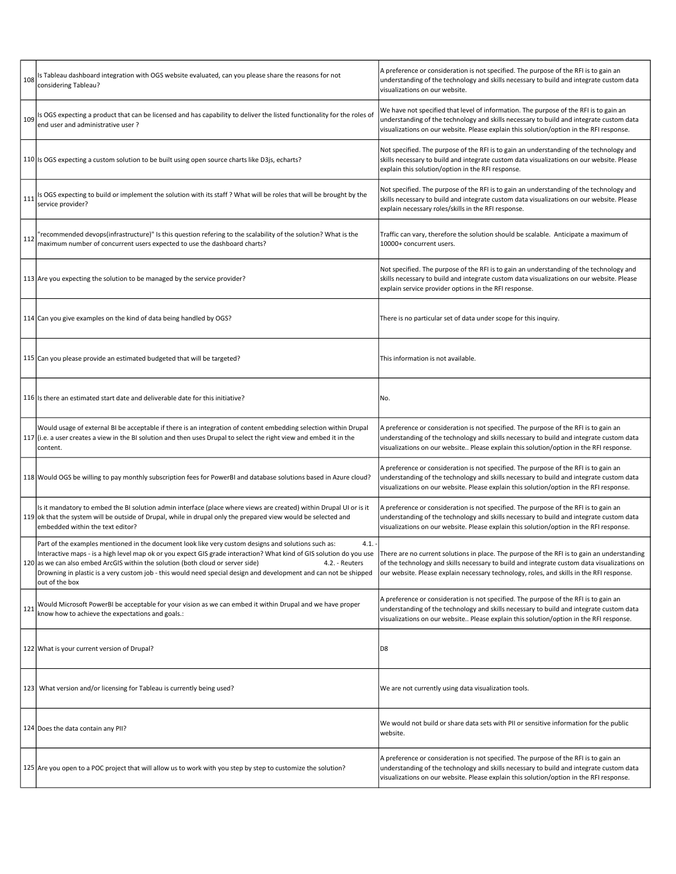| 108 | Is Tableau dashboard integration with OGS website evaluated, can you please share the reasons for not<br>considering Tableau?                                                                                                                                                                                                                                                                                                                                                                                                                                             | A preference or consideration is not specified. The purpose of the RFI is to gain an<br>understanding of the technology and skills necessary to build and integrate custom data<br>visualizations on our website.                                                           |
|-----|---------------------------------------------------------------------------------------------------------------------------------------------------------------------------------------------------------------------------------------------------------------------------------------------------------------------------------------------------------------------------------------------------------------------------------------------------------------------------------------------------------------------------------------------------------------------------|-----------------------------------------------------------------------------------------------------------------------------------------------------------------------------------------------------------------------------------------------------------------------------|
| 109 | Is OGS expecting a product that can be licensed and has capability to deliver the listed functionality for the roles of<br>end user and administrative user?                                                                                                                                                                                                                                                                                                                                                                                                              | We have not specified that level of information. The purpose of the RFI is to gain an<br>understanding of the technology and skills necessary to build and integrate custom data<br>visualizations on our website. Please explain this solution/option in the RFI response. |
|     | 110 Is OGS expecting a custom solution to be built using open source charts like D3js, echarts?                                                                                                                                                                                                                                                                                                                                                                                                                                                                           | Not specified. The purpose of the RFI is to gain an understanding of the technology and<br>skills necessary to build and integrate custom data visualizations on our website. Please<br>explain this solution/option in the RFI response.                                   |
| 111 | Is OGS expecting to build or implement the solution with its staff? What will be roles that will be brought by the<br>service provider?                                                                                                                                                                                                                                                                                                                                                                                                                                   | Not specified. The purpose of the RFI is to gain an understanding of the technology and<br>skills necessary to build and integrate custom data visualizations on our website. Please<br>explain necessary roles/skills in the RFI response.                                 |
| 112 | 'recommended devops(infrastructure)" Is this question refering to the scalability of the solution? What is the<br>maximum number of concurrent users expected to use the dashboard charts?                                                                                                                                                                                                                                                                                                                                                                                | Traffic can vary, therefore the solution should be scalable. Anticipate a maximum of<br>10000+ concurrent users.                                                                                                                                                            |
|     | 113 Are you expecting the solution to be managed by the service provider?                                                                                                                                                                                                                                                                                                                                                                                                                                                                                                 | Not specified. The purpose of the RFI is to gain an understanding of the technology and<br>skills necessary to build and integrate custom data visualizations on our website. Please<br>explain service provider options in the RFI response.                               |
|     | 114 Can you give examples on the kind of data being handled by OGS?                                                                                                                                                                                                                                                                                                                                                                                                                                                                                                       | There is no particular set of data under scope for this inquiry.                                                                                                                                                                                                            |
|     | 115 Can you please provide an estimated budgeted that will be targeted?                                                                                                                                                                                                                                                                                                                                                                                                                                                                                                   | This information is not available.                                                                                                                                                                                                                                          |
|     | 116 Is there an estimated start date and deliverable date for this initiative?                                                                                                                                                                                                                                                                                                                                                                                                                                                                                            | No.                                                                                                                                                                                                                                                                         |
|     | Would usage of external BI be acceptable if there is an integration of content embedding selection within Drupal<br>117 (i.e. a user creates a view in the BI solution and then uses Drupal to select the right view and embed it in the<br>content.                                                                                                                                                                                                                                                                                                                      | A preference or consideration is not specified. The purpose of the RFI is to gain an<br>understanding of the technology and skills necessary to build and integrate custom data<br>visualizations on our website Please explain this solution/option in the RFI response.   |
|     | 118 Would OGS be willing to pay monthly subscription fees for PowerBI and database solutions based in Azure cloud?                                                                                                                                                                                                                                                                                                                                                                                                                                                        | A preference or consideration is not specified. The purpose of the RFI is to gain an<br>understanding of the technology and skills necessary to build and integrate custom data<br>visualizations on our website. Please explain this solution/option in the RFI response.  |
|     | Is it mandatory to embed the BI solution admin interface (place where views are created) within Drupal UI or is it<br>119 ok that the system will be outside of Drupal, while in drupal only the prepared view would be selected and<br>embedded within the text editor?                                                                                                                                                                                                                                                                                                  | A preference or consideration is not specified. The purpose of the RFI is to gain an<br>understanding of the technology and skills necessary to build and integrate custom data<br>visualizations on our website. Please explain this solution/option in the RFI response.  |
|     | Part of the examples mentioned in the document look like very custom designs and solutions such as:<br>4.1.<br>Interactive maps - is a high level map ok or you expect GIS grade interaction? What kind of GIS solution do you use Inere are no current solutions in place. The purpose of the RFI is to gain an understanding<br>120 as we can also embed ArcGIS within the solution (both cloud or server side)<br>4.2. - Reuters<br>Drowning in plastic is a very custom job - this would need special design and development and can not be shipped<br>out of the box | of the technology and skills necessary to build and integrate custom data visualizations on<br>our website. Please explain necessary technology, roles, and skills in the RFI response.                                                                                     |
| 121 | Would Microsoft PowerBI be acceptable for your vision as we can embed it within Drupal and we have proper<br>know how to achieve the expectations and goals.:                                                                                                                                                                                                                                                                                                                                                                                                             | A preference or consideration is not specified. The purpose of the RFI is to gain an<br>understanding of the technology and skills necessary to build and integrate custom data<br>visualizations on our website Please explain this solution/option in the RFI response.   |
|     | 122 What is your current version of Drupal?                                                                                                                                                                                                                                                                                                                                                                                                                                                                                                                               | D8                                                                                                                                                                                                                                                                          |
|     | 123   What version and/or licensing for Tableau is currently being used?                                                                                                                                                                                                                                                                                                                                                                                                                                                                                                  | We are not currently using data visualization tools.                                                                                                                                                                                                                        |
|     | 124 Does the data contain any PII?                                                                                                                                                                                                                                                                                                                                                                                                                                                                                                                                        | We would not build or share data sets with PII or sensitive information for the public<br>website.                                                                                                                                                                          |
|     | 125 Are you open to a POC project that will allow us to work with you step by step to customize the solution?                                                                                                                                                                                                                                                                                                                                                                                                                                                             | A preference or consideration is not specified. The purpose of the RFI is to gain an<br>understanding of the technology and skills necessary to build and integrate custom data<br>visualizations on our website. Please explain this solution/option in the RFI response.  |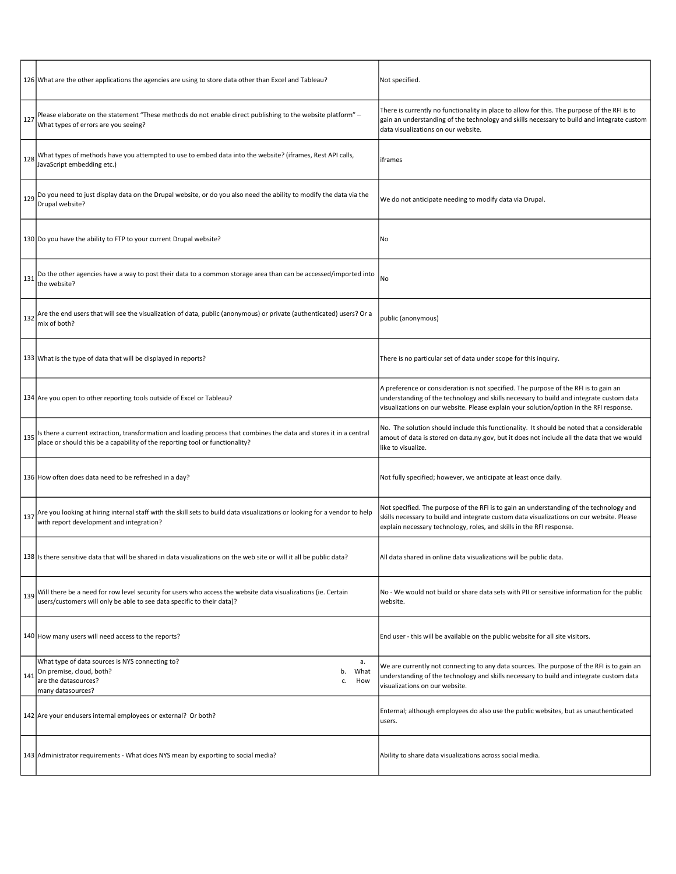|     | 126 What are the other applications the agencies are using to store data other than Excel and Tableau?                                                                                              | Not specified.                                                                                                                                                                                                                                                             |
|-----|-----------------------------------------------------------------------------------------------------------------------------------------------------------------------------------------------------|----------------------------------------------------------------------------------------------------------------------------------------------------------------------------------------------------------------------------------------------------------------------------|
| 127 | Please elaborate on the statement "These methods do not enable direct publishing to the website platform" -<br>What types of errors are you seeing?                                                 | There is currently no functionality in place to allow for this. The purpose of the RFI is to<br>gain an understanding of the technology and skills necessary to build and integrate custom<br>data visualizations on our website.                                          |
| 128 | What types of methods have you attempted to use to embed data into the website? (iframes, Rest API calls,<br>JavaScript embedding etc.)                                                             | iframes                                                                                                                                                                                                                                                                    |
| 129 | Do you need to just display data on the Drupal website, or do you also need the ability to modify the data via the<br>Drupal website?                                                               | We do not anticipate needing to modify data via Drupal.                                                                                                                                                                                                                    |
|     | 130 Do you have the ability to FTP to your current Drupal website?                                                                                                                                  | No                                                                                                                                                                                                                                                                         |
| 131 | Do the other agencies have a way to post their data to a common storage area than can be accessed/imported into<br>the website?                                                                     | No                                                                                                                                                                                                                                                                         |
| 132 | Are the end users that will see the visualization of data, public (anonymous) or private (authenticated) users? Or a<br>mix of both?                                                                | public (anonymous)                                                                                                                                                                                                                                                         |
|     | 133 What is the type of data that will be displayed in reports?                                                                                                                                     | There is no particular set of data under scope for this inquiry.                                                                                                                                                                                                           |
|     | 134 Are you open to other reporting tools outside of Excel or Tableau?                                                                                                                              | A preference or consideration is not specified. The purpose of the RFI is to gain an<br>understanding of the technology and skills necessary to build and integrate custom data<br>visualizations on our website. Please explain your solution/option in the RFI response. |
| 135 | Is there a current extraction, transformation and loading process that combines the data and stores it in a central<br>place or should this be a capability of the reporting tool or functionality? | No. The solution should include this functionality. It should be noted that a considerable<br>amout of data is stored on data.ny.gov, but it does not include all the data that we would<br>like to visualize.                                                             |
|     | 136 How often does data need to be refreshed in a day?                                                                                                                                              | Not fully specified; however, we anticipate at least once daily.                                                                                                                                                                                                           |
| 137 | Are you looking at hiring internal staff with the skill sets to build data visualizations or looking for a vendor to help<br>with report development and integration?                               | Not specified. The purpose of the RFI is to gain an understanding of the technology and<br>skills necessary to build and integrate custom data visualizations on our website. Please<br>explain necessary technology, roles, and skills in the RFI response.               |
|     | 138 Is there sensitive data that will be shared in data visualizations on the web site or will it all be public data?                                                                               | All data shared in online data visualizations will be public data.                                                                                                                                                                                                         |
| 139 | Will there be a need for row level security for users who access the website data visualizations (ie. Certain<br>users/customers will only be able to see data specific to their data)?             | No - We would not build or share data sets with PII or sensitive information for the public<br>website.                                                                                                                                                                    |
|     | 140 How many users will need access to the reports?                                                                                                                                                 | End user - this will be available on the public website for all site visitors.                                                                                                                                                                                             |
| 141 | What type of data sources is NYS connecting to?<br>а.<br>On premise, cloud, both?<br>What<br>b.<br>are the datasources?<br>How<br>c.<br>many datasources?                                           | We are currently not connecting to any data sources. The purpose of the RFI is to gain an<br>understanding of the technology and skills necessary to build and integrate custom data<br>visualizations on our website.                                                     |
|     | 142 Are your endusers internal employees or external? Or both?                                                                                                                                      | Enternal; although employees do also use the public websites, but as unauthenticated<br>users.                                                                                                                                                                             |
|     | 143 Administrator requirements - What does NYS mean by exporting to social media?                                                                                                                   | Ability to share data visualizations across social media.                                                                                                                                                                                                                  |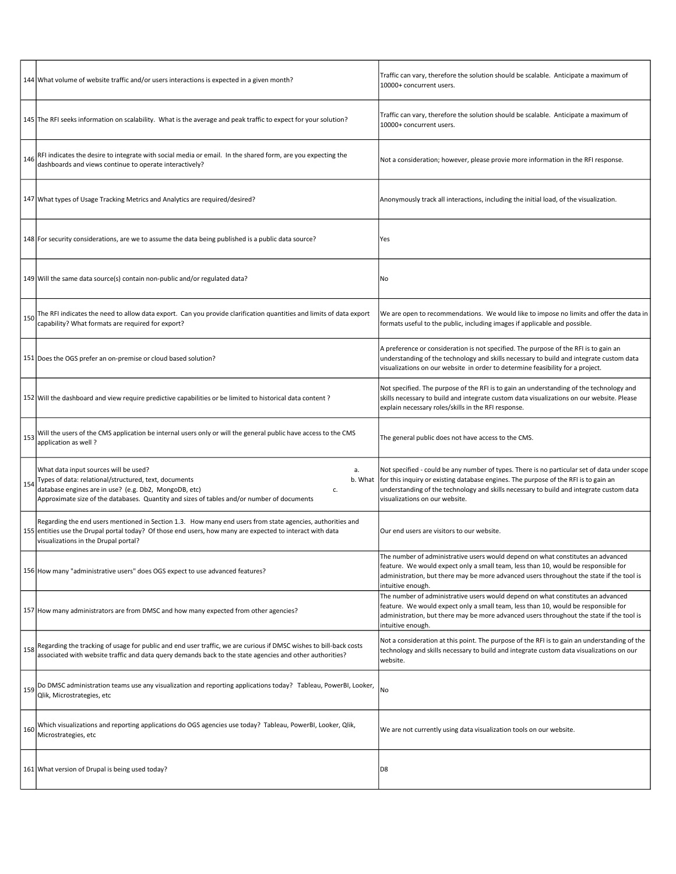|     | 144 What volume of website traffic and/or users interactions is expected in a given month?                                                                                                                                                                                   | Traffic can vary, therefore the solution should be scalable. Anticipate a maximum of<br>10000+ concurrent users.                                                                                                                                                                                                 |
|-----|------------------------------------------------------------------------------------------------------------------------------------------------------------------------------------------------------------------------------------------------------------------------------|------------------------------------------------------------------------------------------------------------------------------------------------------------------------------------------------------------------------------------------------------------------------------------------------------------------|
|     | 145 The RFI seeks information on scalability. What is the average and peak traffic to expect for your solution?                                                                                                                                                              | Traffic can vary, therefore the solution should be scalable. Anticipate a maximum of<br>10000+ concurrent users.                                                                                                                                                                                                 |
| 146 | RFI indicates the desire to integrate with social media or email. In the shared form, are you expecting the<br>dashboards and views continue to operate interactively?                                                                                                       | Not a consideration; however, please provie more information in the RFI response.                                                                                                                                                                                                                                |
|     | 147 What types of Usage Tracking Metrics and Analytics are required/desired?                                                                                                                                                                                                 | Anonymously track all interactions, including the initial load, of the visualization.                                                                                                                                                                                                                            |
|     | 148   For security considerations, are we to assume the data being published is a public data source?                                                                                                                                                                        | Yes                                                                                                                                                                                                                                                                                                              |
|     | 149 Will the same data source(s) contain non-public and/or regulated data?                                                                                                                                                                                                   | No                                                                                                                                                                                                                                                                                                               |
| 150 | The RFI indicates the need to allow data export. Can you provide clarification quantities and limits of data export<br>capability? What formats are required for export?                                                                                                     | We are open to recommendations. We would like to impose no limits and offer the data in<br>formats useful to the public, including images if applicable and possible.                                                                                                                                            |
|     | 151 Does the OGS prefer an on-premise or cloud based solution?                                                                                                                                                                                                               | A preference or consideration is not specified. The purpose of the RFI is to gain an<br>understanding of the technology and skills necessary to build and integrate custom data<br>visualizations on our website in order to determine feasibility for a project.                                                |
|     | 152 Will the dashboard and view require predictive capabilities or be limited to historical data content?                                                                                                                                                                    | Not specified. The purpose of the RFI is to gain an understanding of the technology and<br>skills necessary to build and integrate custom data visualizations on our website. Please<br>explain necessary roles/skills in the RFI response.                                                                      |
| 153 | Will the users of the CMS application be internal users only or will the general public have access to the CMS<br>application as well?                                                                                                                                       | The general public does not have access to the CMS.                                                                                                                                                                                                                                                              |
| 154 | What data input sources will be used?<br>а.<br>Types of data: relational/structured, text, documents<br>b. What<br>database engines are in use? (e.g. Db2, MongoDB, etc)<br>c.<br>Approximate size of the databases. Quantity and sizes of tables and/or number of documents | Not specified - could be any number of types. There is no particular set of data under scope<br>for this inquiry or existing database engines. The purpose of the RFI is to gain an<br>understanding of the technology and skills necessary to build and integrate custom data<br>visualizations on our website. |
|     | Regarding the end users mentioned in Section 1.3. How many end users from state agencies, authorities and<br>155 entities use the Drupal portal today? Of those end users, how many are expected to interact with data<br>visualizations in the Drupal portal?               | Our end users are visitors to our website.                                                                                                                                                                                                                                                                       |
|     | 156 How many "administrative users" does OGS expect to use advanced features?                                                                                                                                                                                                | The number of administrative users would depend on what constitutes an advanced<br>feature. We would expect only a small team, less than 10, would be responsible for<br>administration, but there may be more advanced users throughout the state if the tool is<br>intuitive enough.                           |
|     | 157 How many administrators are from DMSC and how many expected from other agencies?                                                                                                                                                                                         | The number of administrative users would depend on what constitutes an advanced<br>feature. We would expect only a small team, less than 10, would be responsible for<br>administration, but there may be more advanced users throughout the state if the tool is<br>intuitive enough.                           |
| 158 | Regarding the tracking of usage for public and end user traffic, we are curious if DMSC wishes to bill-back costs<br>associated with website traffic and data query demands back to the state agencies and other authorities?                                                | Not a consideration at this point. The purpose of the RFI is to gain an understanding of the<br>technology and skills necessary to build and integrate custom data visualizations on our<br>website.                                                                                                             |
| 159 | Do DMSC administration teams use any visualization and reporting applications today? Tableau, PowerBI, Looker,<br>Qlik, Microstrategies, etc                                                                                                                                 | No                                                                                                                                                                                                                                                                                                               |
| 160 | Which visualizations and reporting applications do OGS agencies use today? Tableau, PowerBI, Looker, Qlik,<br>Microstrategies, etc                                                                                                                                           | We are not currently using data visualization tools on our website.                                                                                                                                                                                                                                              |
|     | 161 What version of Drupal is being used today?                                                                                                                                                                                                                              | D8                                                                                                                                                                                                                                                                                                               |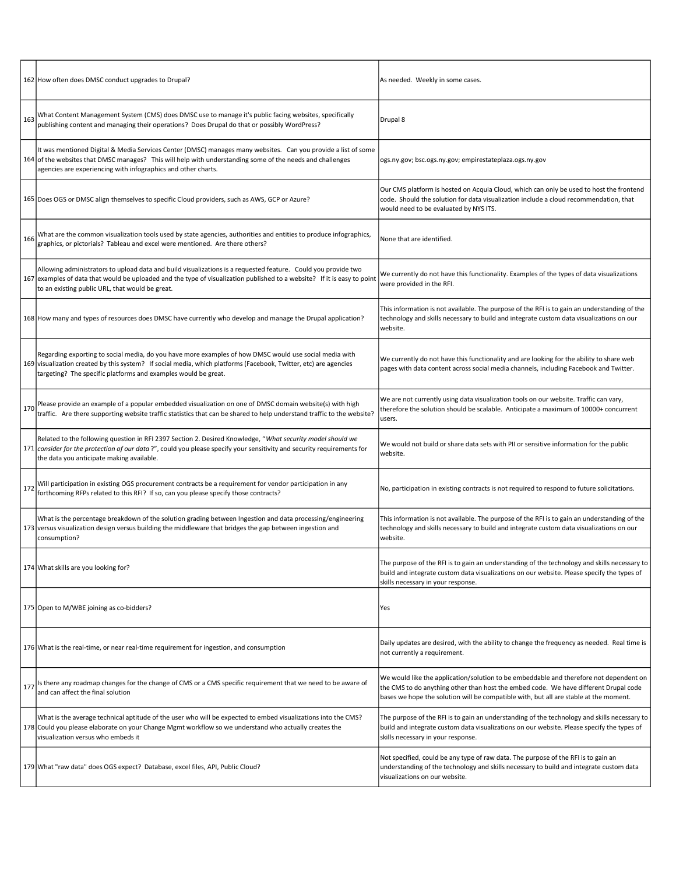|     | 162 How often does DMSC conduct upgrades to Drupal?                                                                                                                                                                                                                                          | As needed. Weekly in some cases.                                                                                                                                                                                                                                        |
|-----|----------------------------------------------------------------------------------------------------------------------------------------------------------------------------------------------------------------------------------------------------------------------------------------------|-------------------------------------------------------------------------------------------------------------------------------------------------------------------------------------------------------------------------------------------------------------------------|
| 163 | What Content Management System (CMS) does DMSC use to manage it's public facing websites, specifically<br>publishing content and managing their operations? Does Drupal do that or possibly WordPress?                                                                                       | Drupal 8                                                                                                                                                                                                                                                                |
|     | It was mentioned Digital & Media Services Center (DMSC) manages many websites. Can you provide a list of some<br>164 of the websites that DMSC manages? This will help with understanding some of the needs and challenges<br>agencies are experiencing with infographics and other charts.  | ogs.ny.gov; bsc.ogs.ny.gov; empirestateplaza.ogs.ny.gov                                                                                                                                                                                                                 |
|     | 165 Does OGS or DMSC align themselves to specific Cloud providers, such as AWS, GCP or Azure?                                                                                                                                                                                                | Our CMS platform is hosted on Acquia Cloud, which can only be used to host the frontend<br>code. Should the solution for data visualization include a cloud recommendation, that<br>would need to be evaluated by NYS ITS.                                              |
| 166 | What are the common visualization tools used by state agencies, authorities and entities to produce infographics,<br>graphics, or pictorials? Tableau and excel were mentioned. Are there others?                                                                                            | None that are identified.                                                                                                                                                                                                                                               |
|     | Allowing administrators to upload data and build visualizations is a requested feature. Could you provide two<br>167 examples of data that would be uploaded and the type of visualization published to a website? If it is easy to point<br>to an existing public URL, that would be great. | We currently do not have this functionality. Examples of the types of data visualizations<br>were provided in the RFI.                                                                                                                                                  |
|     | 168 How many and types of resources does DMSC have currently who develop and manage the Drupal application?                                                                                                                                                                                  | This information is not available. The purpose of the RFI is to gain an understanding of the<br>technology and skills necessary to build and integrate custom data visualizations on our<br>website.                                                                    |
|     | Regarding exporting to social media, do you have more examples of how DMSC would use social media with<br>169 visualization created by this system? If social media, which platforms (Facebook, Twitter, etc) are agencies<br>targeting? The specific platforms and examples would be great. | We currently do not have this functionality and are looking for the ability to share web<br>pages with data content across social media channels, including Facebook and Twitter.                                                                                       |
| 170 | Please provide an example of a popular embedded visualization on one of DMSC domain website(s) with high<br>traffic. Are there supporting website traffic statistics that can be shared to help understand traffic to the website?                                                           | We are not currently using data visualization tools on our website. Traffic can vary,<br>therefore the solution should be scalable. Anticipate a maximum of 10000+ concurrent<br>users.                                                                                 |
|     | Related to the following question in RFI 2397 Section 2. Desired Knowledge, "What security model should we<br>171 consider for the protection of our data?", could you please specify your sensitivity and security requirements for<br>the data you anticipate making available.            | We would not build or share data sets with PII or sensitive information for the public<br>website.                                                                                                                                                                      |
| 172 | Will participation in existing OGS procurement contracts be a requirement for vendor participation in any<br>forthcoming RFPs related to this RFI? If so, can you please specify those contracts?                                                                                            | No, participation in existing contracts is not required to respond to future solicitations.                                                                                                                                                                             |
|     | What is the percentage breakdown of the solution grading between Ingestion and data processing/engineering<br>173 versus visualization design versus building the middleware that bridges the gap between ingestion and<br>consumption?                                                      | This information is not available. The purpose of the RFI is to gain an understanding of the<br>technology and skills necessary to build and integrate custom data visualizations on our<br>website.                                                                    |
|     | 174 What skills are you looking for?                                                                                                                                                                                                                                                         | The purpose of the RFI is to gain an understanding of the technology and skills necessary to<br>build and integrate custom data visualizations on our website. Please specify the types of<br>skills necessary in your response.                                        |
|     | 175 Open to M/WBE joining as co-bidders?                                                                                                                                                                                                                                                     | Yes                                                                                                                                                                                                                                                                     |
|     | 176 What is the real-time, or near real-time requirement for ingestion, and consumption                                                                                                                                                                                                      | Daily updates are desired, with the ability to change the frequency as needed. Real time is<br>not currently a requirement.                                                                                                                                             |
| 177 | Is there any roadmap changes for the change of CMS or a CMS specific requirement that we need to be aware of<br>and can affect the final solution                                                                                                                                            | We would like the application/solution to be embeddable and therefore not dependent on<br>the CMS to do anything other than host the embed code. We have different Drupal code<br>bases we hope the solution will be compatible with, but all are stable at the moment. |
|     | What is the average technical aptitude of the user who will be expected to embed visualizations into the CMS?<br>178 Could you please elaborate on your Change Mgmt workflow so we understand who actually creates the<br>visualization versus who embeds it                                 | The purpose of the RFI is to gain an understanding of the technology and skills necessary to<br>build and integrate custom data visualizations on our website. Please specify the types of<br>skills necessary in your response.                                        |
|     | 179 What "raw data" does OGS expect? Database, excel files, API, Public Cloud?                                                                                                                                                                                                               | Not specified, could be any type of raw data. The purpose of the RFI is to gain an<br>understanding of the technology and skills necessary to build and integrate custom data<br>visualizations on our website.                                                         |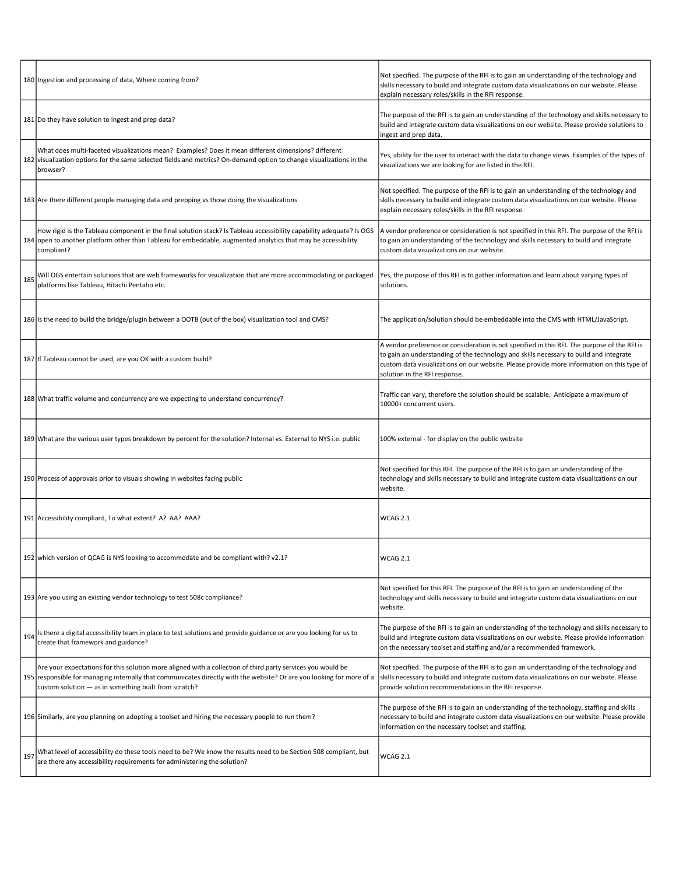|     | 180 Ingestion and processing of data, Where coming from?                                                                                                                                                                                                                                      | Not specified. The purpose of the RFI is to gain an understanding of the technology and<br>skills necessary to build and integrate custom data visualizations on our website. Please<br>explain necessary roles/skills in the RFI response.                                                                           |
|-----|-----------------------------------------------------------------------------------------------------------------------------------------------------------------------------------------------------------------------------------------------------------------------------------------------|-----------------------------------------------------------------------------------------------------------------------------------------------------------------------------------------------------------------------------------------------------------------------------------------------------------------------|
|     | 181 Do they have solution to ingest and prep data?                                                                                                                                                                                                                                            | The purpose of the RFI is to gain an understanding of the technology and skills necessary to<br>build and integrate custom data visualizations on our website. Please provide solutions to<br>ingest and prep data.                                                                                                   |
|     | What does multi-faceted visualizations mean? Examples? Does it mean different dimensions? different<br>182 visualization options for the same selected fields and metrics? On-demand option to change visualizations in the<br>browser?                                                       | Yes, ability for the user to interact with the data to change views. Examples of the types of<br>visualizations we are looking for are listed in the RFI.                                                                                                                                                             |
|     | 183 Are there different people managing data and prepping vs those doing the visualizations                                                                                                                                                                                                   | Not specified. The purpose of the RFI is to gain an understanding of the technology and<br>skills necessary to build and integrate custom data visualizations on our website. Please<br>explain necessary roles/skills in the RFI response.                                                                           |
|     | How rigid is the Tableau component in the final solution stack? Is Tableau accessibility capability adequate? Is OGS<br>184 open to another platform other than Tableau for embeddable, augmented analytics that may be accessibility<br>compliant?                                           | A vendor preference or consideration is not specified in this RFI. The purpose of the RFI is<br>to gain an understanding of the technology and skills necessary to build and integrate<br>custom data visualizations on our website.                                                                                  |
| 185 | Will OGS entertain solutions that are web frameworks for visualization that are more accommodating or packaged<br>platforms like Tableau, Hitachi Pentaho etc.                                                                                                                                | Yes, the purpose of this RFI is to gather information and learn about varying types of<br>solutions.                                                                                                                                                                                                                  |
|     | 186 Is the need to build the bridge/plugin between a OOTB (out of the box) visualization tool and CMS?                                                                                                                                                                                        | The application/solution should be embeddable into the CMS with HTML/JavaScript.                                                                                                                                                                                                                                      |
|     | 187 If Tableau cannot be used, are you OK with a custom build?                                                                                                                                                                                                                                | A vendor preference or consideration is not specified in this RFI. The purpose of the RFI is<br>to gain an understanding of the technology and skills necessary to build and integrate<br>custom data visualizations on our website. Please provide more information on this type of<br>solution in the RFI response. |
|     | 188 What traffic volume and concurrency are we expecting to understand concurrency?                                                                                                                                                                                                           | Traffic can vary, therefore the solution should be scalable. Anticipate a maximum of<br>10000+ concurrent users.                                                                                                                                                                                                      |
|     | 189 What are the various user types breakdown by percent for the solution? Internal vs. External to NYS i.e. public                                                                                                                                                                           | 100% external - for display on the public website                                                                                                                                                                                                                                                                     |
|     | 190 Process of approvals prior to visuals showing in websites facing public                                                                                                                                                                                                                   | Not specified for this RFI. The purpose of the RFI is to gain an understanding of the<br>technology and skills necessary to build and integrate custom data visualizations on our<br>website.                                                                                                                         |
|     | 191 Accessibility compliant, To what extent? A? AA? AAA?                                                                                                                                                                                                                                      | WCAG 2.1                                                                                                                                                                                                                                                                                                              |
|     | 192  which version of QCAG is NYS looking to accommodate and be compliant with? v2.1?                                                                                                                                                                                                         | WCAG 2.1                                                                                                                                                                                                                                                                                                              |
|     | 193 Are you using an existing vendor technology to test 508c compliance?                                                                                                                                                                                                                      | Not specified for this RFI. The purpose of the RFI is to gain an understanding of the<br>technology and skills necessary to build and integrate custom data visualizations on our<br>website.                                                                                                                         |
| 194 | Is there a digital accessibility team in place to test solutions and provide guidance or are you looking for us to<br>create that framework and guidance?                                                                                                                                     | The purpose of the RFI is to gain an understanding of the technology and skills necessary to<br>build and integrate custom data visualizations on our website. Please provide information<br>on the necessary toolset and staffing and/or a recommended framework.                                                    |
|     | Are your expectations for this solution more aligned with a collection of third party services you would be<br>195 responsible for managing internally that communicates directly with the website? Or are you looking for more of a<br>custom solution - as in something built from scratch? | Not specified. The purpose of the RFI is to gain an understanding of the technology and<br>skills necessary to build and integrate custom data visualizations on our website. Please<br>provide solution recommendations in the RFI response.                                                                         |
|     | 196 Similarly, are you planning on adopting a toolset and hiring the necessary people to run them?                                                                                                                                                                                            | The purpose of the RFI is to gain an understanding of the technology, staffing and skills<br>necessary to build and integrate custom data visualizations on our website. Please provide<br>information on the necessary toolset and staffing.                                                                         |
| 197 | What level of accessibility do these tools need to be? We know the results need to be Section 508 compliant, but<br>are there any accessibility requirements for administering the solution?                                                                                                  | WCAG 2.1                                                                                                                                                                                                                                                                                                              |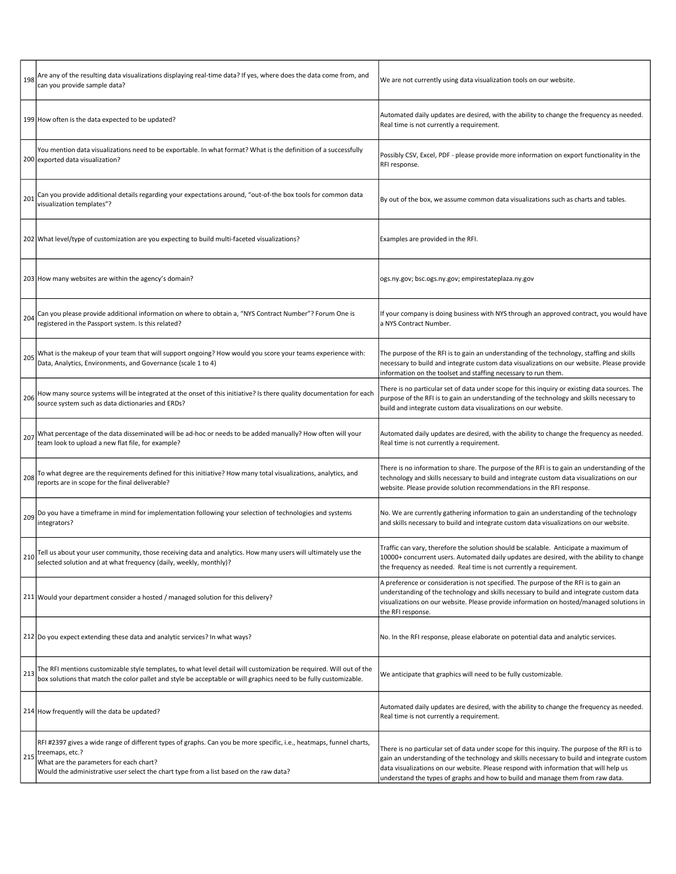|     | Are any of the resulting data visualizations displaying real-time data? If yes, where does the data come from, and<br>can you provide sample data?                                                                                                                          | We are not currently using data visualization tools on our website.                                                                                                                                                                                                                                                                                                    |
|-----|-----------------------------------------------------------------------------------------------------------------------------------------------------------------------------------------------------------------------------------------------------------------------------|------------------------------------------------------------------------------------------------------------------------------------------------------------------------------------------------------------------------------------------------------------------------------------------------------------------------------------------------------------------------|
|     | 199 How often is the data expected to be updated?                                                                                                                                                                                                                           | Automated daily updates are desired, with the ability to change the frequency as needed.<br>Real time is not currently a requirement.                                                                                                                                                                                                                                  |
|     | You mention data visualizations need to be exportable. In what format? What is the definition of a successfully<br>200 exported data visualization?                                                                                                                         | Possibly CSV, Excel, PDF - please provide more information on export functionality in the<br>RFI response.                                                                                                                                                                                                                                                             |
| 201 | Can you provide additional details regarding your expectations around, "out-of-the box tools for common data<br>visualization templates"?                                                                                                                                   | By out of the box, we assume common data visualizations such as charts and tables.                                                                                                                                                                                                                                                                                     |
|     | 202 What level/type of customization are you expecting to build multi-faceted visualizations?                                                                                                                                                                               | Examples are provided in the RFI.                                                                                                                                                                                                                                                                                                                                      |
|     | 203 How many websites are within the agency's domain?                                                                                                                                                                                                                       | ogs.ny.gov; bsc.ogs.ny.gov; empirestateplaza.ny.gov                                                                                                                                                                                                                                                                                                                    |
| 204 | Can you please provide additional information on where to obtain a, "NYS Contract Number"? Forum One is<br>registered in the Passport system. Is this related?                                                                                                              | If your company is doing business with NYS through an approved contract, you would have<br>a NYS Contract Number.                                                                                                                                                                                                                                                      |
| 205 | What is the makeup of your team that will support ongoing? How would you score your teams experience with:<br>Data, Analytics, Environments, and Governance (scale 1 to 4)                                                                                                  | The purpose of the RFI is to gain an understanding of the technology, staffing and skills<br>necessary to build and integrate custom data visualizations on our website. Please provide<br>information on the toolset and staffing necessary to run them.                                                                                                              |
| 206 | How many source systems will be integrated at the onset of this initiative? Is there quality documentation for each<br>source system such as data dictionaries and ERDs?                                                                                                    | There is no particular set of data under scope for this inquiry or existing data sources. The<br>purpose of the RFI is to gain an understanding of the technology and skills necessary to<br>build and integrate custom data visualizations on our website.                                                                                                            |
| 207 | What percentage of the data disseminated will be ad-hoc or needs to be added manually? How often will your<br>team look to upload a new flat file, for example?                                                                                                             | Automated daily updates are desired, with the ability to change the frequency as needed.<br>Real time is not currently a requirement.                                                                                                                                                                                                                                  |
| 208 | To what degree are the requirements defined for this initiative? How many total visualizations, analytics, and<br>reports are in scope for the final deliverable?                                                                                                           | There is no information to share. The purpose of the RFI is to gain an understanding of the<br>technology and skills necessary to build and integrate custom data visualizations on our<br>website. Please provide solution recommendations in the RFI response.                                                                                                       |
| 209 | Do you have a timeframe in mind for implementation following your selection of technologies and systems<br>integrators?                                                                                                                                                     | No. We are currently gathering information to gain an understanding of the technology<br>and skills necessary to build and integrate custom data visualizations on our website.                                                                                                                                                                                        |
|     | Tell us about your user community, those receiving data and analytics. How many users will ultimately use the<br>selected solution and at what frequency (daily, weekly, monthly)?                                                                                          | Traffic can vary, therefore the solution should be scalable. Anticipate a maximum of<br>10000+ concurrent users. Automated daily updates are desired, with the ability to change<br>the frequency as needed. Real time is not currently a requirement.                                                                                                                 |
|     | 211 Would your department consider a hosted / managed solution for this delivery?                                                                                                                                                                                           | A preference or consideration is not specified. The purpose of the RFI is to gain an<br>understanding of the technology and skills necessary to build and integrate custom data<br>visualizations on our website. Please provide information on hosted/managed solutions in<br>the RFI response.                                                                       |
|     | 212 Do you expect extending these data and analytic services? In what ways?                                                                                                                                                                                                 | No. In the RFI response, please elaborate on potential data and analytic services.                                                                                                                                                                                                                                                                                     |
| 213 | The RFI mentions customizable style templates, to what level detail will customization be required. Will out of the<br>box solutions that match the color pallet and style be acceptable or will graphics need to be fully customizable.                                    | We anticipate that graphics will need to be fully customizable.                                                                                                                                                                                                                                                                                                        |
|     | 214 How frequently will the data be updated?                                                                                                                                                                                                                                | Automated daily updates are desired, with the ability to change the frequency as needed.<br>Real time is not currently a requirement.                                                                                                                                                                                                                                  |
| 215 | RFI #2397 gives a wide range of different types of graphs. Can you be more specific, i.e., heatmaps, funnel charts,<br>treemaps, etc.?<br>What are the parameters for each chart?<br>Would the administrative user select the chart type from a list based on the raw data? | There is no particular set of data under scope for this inquiry. The purpose of the RFI is to<br>gain an understanding of the technology and skills necessary to build and integrate custom<br>data visualizations on our website. Please respond with information that will help us<br>understand the types of graphs and how to build and manage them from raw data. |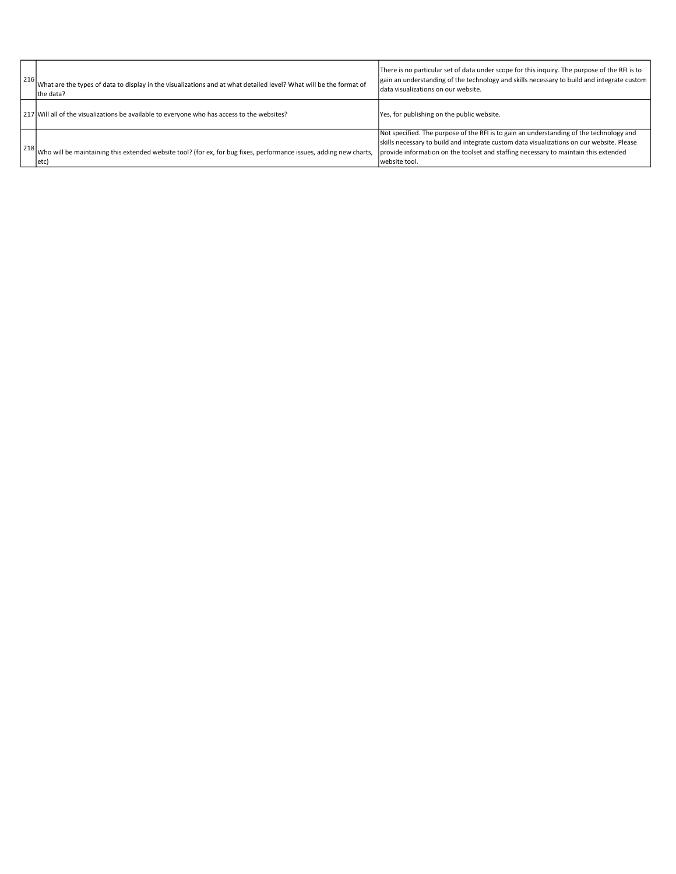| 216 | What are the types of data to display in the visualizations and at what detailed level? What will be the format of<br>the data?               | There is no particular set of data under scope for this inguiry. The purpose of the RFI is to<br>gain an understanding of the technology and skills necessary to build and integrate custom<br>Idata visualizations on our website.                                                          |
|-----|-----------------------------------------------------------------------------------------------------------------------------------------------|----------------------------------------------------------------------------------------------------------------------------------------------------------------------------------------------------------------------------------------------------------------------------------------------|
|     | 217 Will all of the visualizations be available to everyone who has access to the websites?                                                   | Yes, for publishing on the public website.                                                                                                                                                                                                                                                   |
|     | $\vert$ 218 Who will be maintaining this extended website tool? (for ex, for bug fixes, performance issues, adding new charts,<br>$ $ etc $ $ | Not specified. The purpose of the RFI is to gain an understanding of the technology and<br>skills necessary to build and integrate custom data visualizations on our website. Please<br>provide information on the toolset and staffing necessary to maintain this extended<br>website tool. |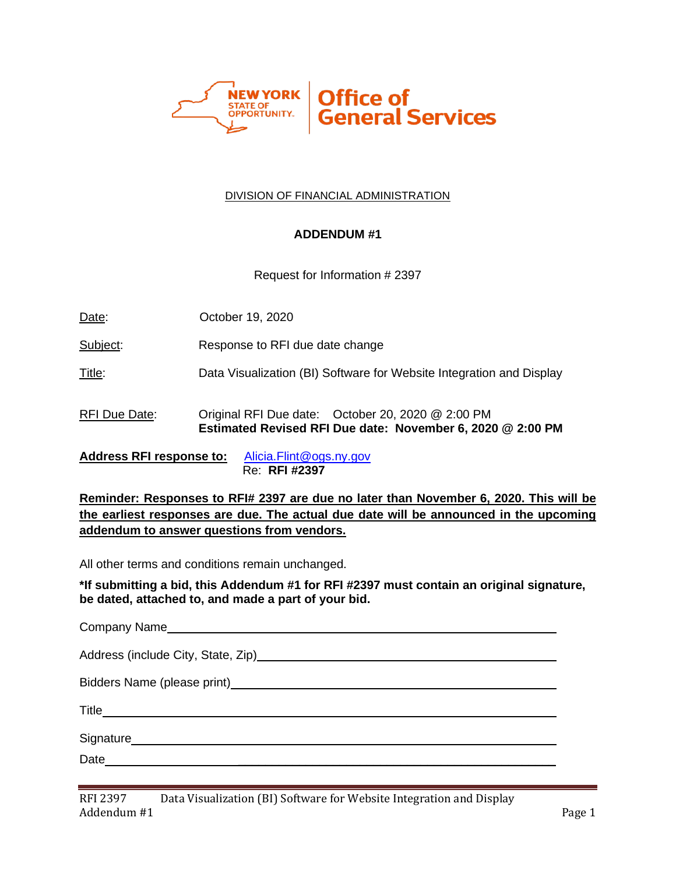

### DIVISION OF FINANCIAL ADMINISTRATION

### **ADDENDUM #1**

Request for Information # 2397

Date: **October 19, 2020** 

Subject: Response to RFI due date change

Title: Data Visualization (BI) Software for Website Integration and Display

RFI Due Date: Original RFI Due date: October 20, 2020 @ 2:00 PM **Estimated Revised RFI Due date: November 6, 2020 @ 2:00 PM**

**Address RFI response to:** [Alicia.Flint@ogs.ny.gov](mailto:Alicia.Flint@ogs.ny.gov) Re: **RFI #2397**

**Reminder: Responses to RFI# 2397 are due no later than November 6, 2020. This will be the earliest responses are due. The actual due date will be announced in the upcoming addendum to answer questions from vendors.**

All other terms and conditions remain unchanged.

**\*If submitting a bid, this Addendum #1 for RFI #2397 must contain an original signature, be dated, attached to, and made a part of your bid.**

Company Name

Address (include City, State, Zip) Manual Address (include City, State, Zip)

Bidders Name (please print)

Title

Signature **Constanting Construction Constanting Constanting Construction Constanting Constanting Constanting Constanting Constanting Constanting Constanting Constanting Constanting Constanting Constanting Constanting C** 

Date \_\_\_\_\_\_\_\_\_\_\_\_\_\_\_\_\_\_\_\_\_\_\_\_\_\_\_\_\_\_\_\_\_\_\_\_\_\_\_\_\_\_\_\_\_\_\_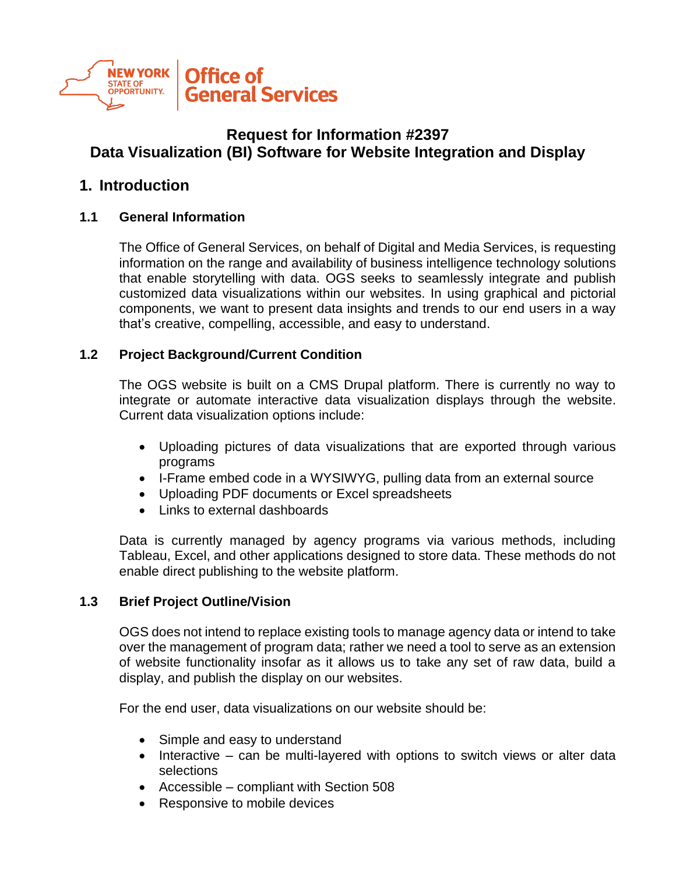

# **Request for Information #2397 Data Visualization (BI) Software for Website Integration and Display**

### **1. Introduction**

### **1.1 General Information**

The Office of General Services, on behalf of Digital and Media Services, is requesting information on the range and availability of business intelligence technology solutions that enable storytelling with data. OGS seeks to seamlessly integrate and publish customized data visualizations within our websites. In using graphical and pictorial components, we want to present data insights and trends to our end users in a way that's creative, compelling, accessible, and easy to understand.

### **1.2 Project Background/Current Condition**

The OGS website is built on a CMS Drupal platform. There is currently no way to integrate or automate interactive data visualization displays through the website. Current data visualization options include:

- Uploading pictures of data visualizations that are exported through various programs
- I-Frame embed code in a WYSIWYG, pulling data from an external source
- Uploading PDF documents or Excel spreadsheets
- Links to external dashboards

Data is currently managed by agency programs via various methods, including Tableau, Excel, and other applications designed to store data. These methods do not enable direct publishing to the website platform.

### **1.3 Brief Project Outline/Vision**

OGS does not intend to replace existing tools to manage agency data or intend to take over the management of program data; rather we need a tool to serve as an extension of website functionality insofar as it allows us to take any set of raw data, build a display, and publish the display on our websites.

For the end user, data visualizations on our website should be:

- Simple and easy to understand
- Interactive can be multi-layered with options to switch views or alter data selections
- Accessible compliant with Section 508
- Responsive to mobile devices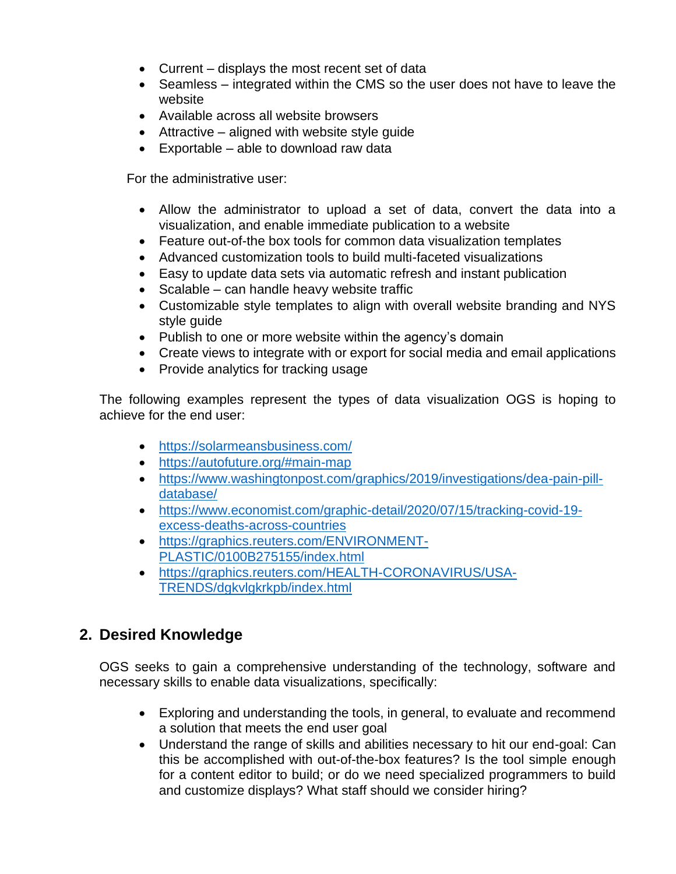- Current displays the most recent set of data
- Seamless integrated within the CMS so the user does not have to leave the website
- Available across all website browsers
- Attractive aligned with website style quide
- Exportable able to download raw data

For the administrative user:

- Allow the administrator to upload a set of data, convert the data into a visualization, and enable immediate publication to a website
- Feature out-of-the box tools for common data visualization templates
- Advanced customization tools to build multi-faceted visualizations
- Easy to update data sets via automatic refresh and instant publication
- Scalable can handle heavy website traffic
- Customizable style templates to align with overall website branding and NYS style guide
- Publish to one or more website within the agency's domain
- Create views to integrate with or export for social media and email applications
- Provide analytics for tracking usage

The following examples represent the types of data visualization OGS is hoping to achieve for the end user:

- <https://solarmeansbusiness.com/>
- <https://autofuture.org/#main-map>
- [https://www.washingtonpost.com/graphics/2019/investigations/dea-pain-pill](https://www.washingtonpost.com/graphics/2019/investigations/dea-pain-pill-database/)[database/](https://www.washingtonpost.com/graphics/2019/investigations/dea-pain-pill-database/)
- [https://www.economist.com/graphic-detail/2020/07/15/tracking-covid-19](https://www.economist.com/graphic-detail/2020/07/15/tracking-covid-19-excess-deaths-across-countries) [excess-deaths-across-countries](https://www.economist.com/graphic-detail/2020/07/15/tracking-covid-19-excess-deaths-across-countries)
- [https://graphics.reuters.com/ENVIRONMENT-](https://graphics.reuters.com/ENVIRONMENT-PLASTIC/0100B275155/index.html)[PLASTIC/0100B275155/index.html](https://graphics.reuters.com/ENVIRONMENT-PLASTIC/0100B275155/index.html)
- [https://graphics.reuters.com/HEALTH-CORONAVIRUS/USA-](https://graphics.reuters.com/HEALTH-CORONAVIRUS/USA-TRENDS/dgkvlgkrkpb/index.html)[TRENDS/dgkvlgkrkpb/index.html](https://graphics.reuters.com/HEALTH-CORONAVIRUS/USA-TRENDS/dgkvlgkrkpb/index.html)

# **2. Desired Knowledge**

OGS seeks to gain a comprehensive understanding of the technology, software and necessary skills to enable data visualizations, specifically:

- Exploring and understanding the tools, in general, to evaluate and recommend a solution that meets the end user goal
- Understand the range of skills and abilities necessary to hit our end-goal: Can this be accomplished with out-of-the-box features? Is the tool simple enough for a content editor to build; or do we need specialized programmers to build and customize displays? What staff should we consider hiring?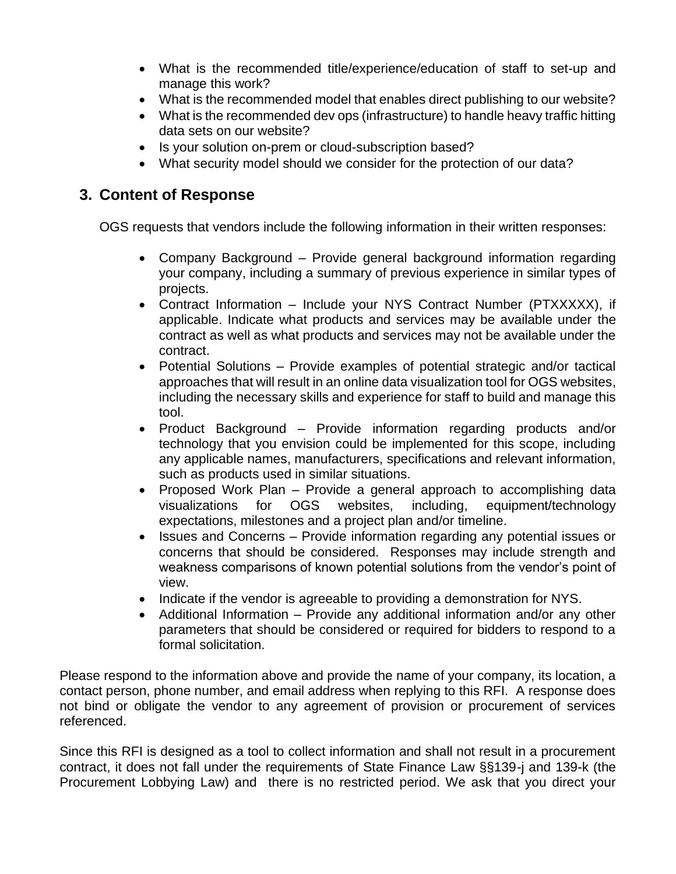- What is the recommended title/experience/education of staff to set-up and manage this work?
- What is the recommended model that enables direct publishing to our website?
- What is the recommended dev ops (infrastructure) to handle heavy traffic hitting data sets on our website?
- Is your solution on-prem or cloud-subscription based?
- What security model should we consider for the protection of our data?

## **3. Content of Response**

OGS requests that vendors include the following information in their written responses:

- Company Background Provide general background information regarding your company, including a summary of previous experience in similar types of projects.
- Contract Information Include your NYS Contract Number (PTXXXXX), if applicable. Indicate what products and services may be available under the contract as well as what products and services may not be available under the contract.
- Potential Solutions Provide examples of potential strategic and/or tactical approaches that will result in an online data visualization tool for OGS websites, including the necessary skills and experience for staff to build and manage this tool.
- Product Background Provide information regarding products and/or technology that you envision could be implemented for this scope, including any applicable names, manufacturers, specifications and relevant information, such as products used in similar situations.
- Proposed Work Plan Provide a general approach to accomplishing data visualizations for OGS websites, including, equipment/technology expectations, milestones and a project plan and/or timeline.
- Issues and Concerns Provide information regarding any potential issues or concerns that should be considered. Responses may include strength and weakness comparisons of known potential solutions from the vendor's point of view.
- Indicate if the vendor is agreeable to providing a demonstration for NYS.
- Additional Information Provide any additional information and/or any other parameters that should be considered or required for bidders to respond to a formal solicitation.

Please respond to the information above and provide the name of your company, its location, a contact person, phone number, and email address when replying to this RFI. A response does not bind or obligate the vendor to any agreement of provision or procurement of services referenced.

Since this RFI is designed as a tool to collect information and shall not result in a procurement contract, it does not fall under the requirements of State Finance Law §§139-j and 139-k (the Procurement Lobbying Law) and there is no restricted period. We ask that you direct your